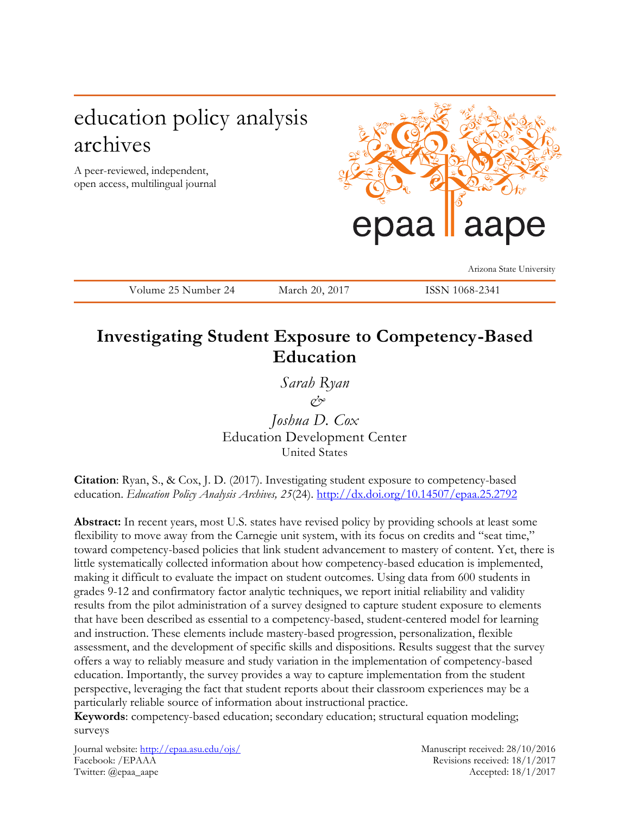# education policy analysis archives

A peer-reviewed, independent, open access, multilingual journal



Arizona State University

Volume 25 Number 24 March 20, 2017 ISSN 1068-2341

# **Investigating Student Exposure to Competency-Based Education**

*Sarah Ryan & Joshua D. Cox* Education Development Center United States

**Citation**: Ryan, S., & Cox, J. D. (2017). Investigating student exposure to competency-based education. *Education Policy Analysis Archives, 25*(24). <http://dx.doi.org/10.14507/epaa.25.2792>

**Abstract:** In recent years, most U.S. states have revised policy by providing schools at least some flexibility to move away from the Carnegie unit system, with its focus on credits and "seat time," toward competency-based policies that link student advancement to mastery of content. Yet, there is little systematically collected information about how competency-based education is implemented, making it difficult to evaluate the impact on student outcomes. Using data from 600 students in grades 9-12 and confirmatory factor analytic techniques, we report initial reliability and validity results from the pilot administration of a survey designed to capture student exposure to elements that have been described as essential to a competency-based, student-centered model for learning and instruction. These elements include mastery-based progression, personalization, flexible assessment, and the development of specific skills and dispositions. Results suggest that the survey offers a way to reliably measure and study variation in the implementation of competency-based education. Importantly, the survey provides a way to capture implementation from the student perspective, leveraging the fact that student reports about their classroom experiences may be a particularly reliable source of information about instructional practice.

**Keywords**: competency-based education; secondary education; structural equation modeling; surveys

Journal website:<http://epaa.asu.edu/ojs/> Manuscript received: 28/10/2016 Facebook: /EPAAA Revisions received: 18/1/2017 Twitter: @epaa\_aape Accepted: 18/1/2017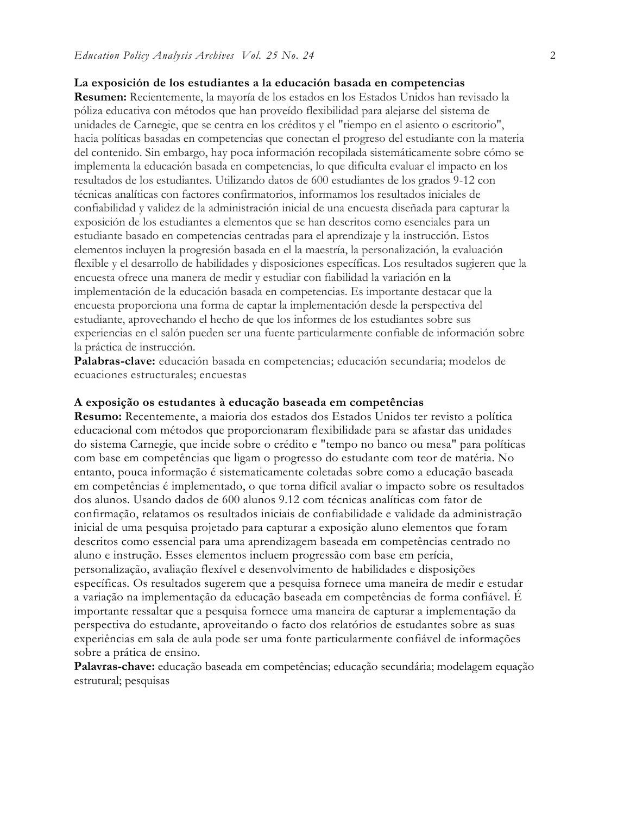# **La exposición de los estudiantes a la educación basada en competencias**

**Resumen:** Recientemente, la mayoría de los estados en los Estados Unidos han revisado la póliza educativa con métodos que han proveído flexibilidad para alejarse del sistema de unidades de Carnegie, que se centra en los créditos y el "tiempo en el asiento o escritorio", hacia políticas basadas en competencias que conectan el progreso del estudiante con la materia del contenido. Sin embargo, hay poca información recopilada sistemáticamente sobre cómo se implementa la educación basada en competencias, lo que dificulta evaluar el impacto en los resultados de los estudiantes. Utilizando datos de 600 estudiantes de los grados 9-12 con técnicas analíticas con factores confirmatorios, informamos los resultados iniciales de confiabilidad y validez de la administración inicial de una encuesta diseñada para capturar la exposición de los estudiantes a elementos que se han descritos como esenciales para un estudiante basado en competencias centradas para el aprendizaje y la instrucción. Estos elementos incluyen la progresión basada en el la maestría, la personalización, la evaluación flexible y el desarrollo de habilidades y disposiciones específicas. Los resultados sugieren que la encuesta ofrece una manera de medir y estudiar con fiabilidad la variación en la implementación de la educación basada en competencias. Es importante destacar que la encuesta proporciona una forma de captar la implementación desde la perspectiva del estudiante, aprovechando el hecho de que los informes de los estudiantes sobre sus experiencias en el salón pueden ser una fuente particularmente confiable de información sobre la práctica de instrucción.

**Palabras-clave:** educación basada en competencias; educación secundaria; modelos de ecuaciones estructurales; encuestas

#### **A exposição os estudantes à educação baseada em competências**

**Resumo:** Recentemente, a maioria dos estados dos Estados Unidos ter revisto a política educacional com métodos que proporcionaram flexibilidade para se afastar das unidades do sistema Carnegie, que incide sobre o crédito e "tempo no banco ou mesa" para políticas com base em competências que ligam o progresso do estudante com teor de matéria. No entanto, pouca informação é sistematicamente coletadas sobre como a educação baseada em competências é implementado, o que torna difícil avaliar o impacto sobre os resultados dos alunos. Usando dados de 600 alunos 9.12 com técnicas analíticas com fator de confirmação, relatamos os resultados iniciais de confiabilidade e validade da administração inicial de uma pesquisa projetado para capturar a exposição aluno elementos que foram descritos como essencial para uma aprendizagem baseada em competências centrado no aluno e instrução. Esses elementos incluem progressão com base em perícia, personalização, avaliação flexível e desenvolvimento de habilidades e disposições específicas. Os resultados sugerem que a pesquisa fornece uma maneira de medir e estudar a variação na implementação da educação baseada em competências de forma confiável. É importante ressaltar que a pesquisa fornece uma maneira de capturar a implementação da perspectiva do estudante, aproveitando o facto dos relatórios de estudantes sobre as suas experiências em sala de aula pode ser uma fonte particularmente confiável de informações sobre a prática de ensino.

**Palavras-chave:** educação baseada em competências; educação secundária; modelagem equação estrutural; pesquisas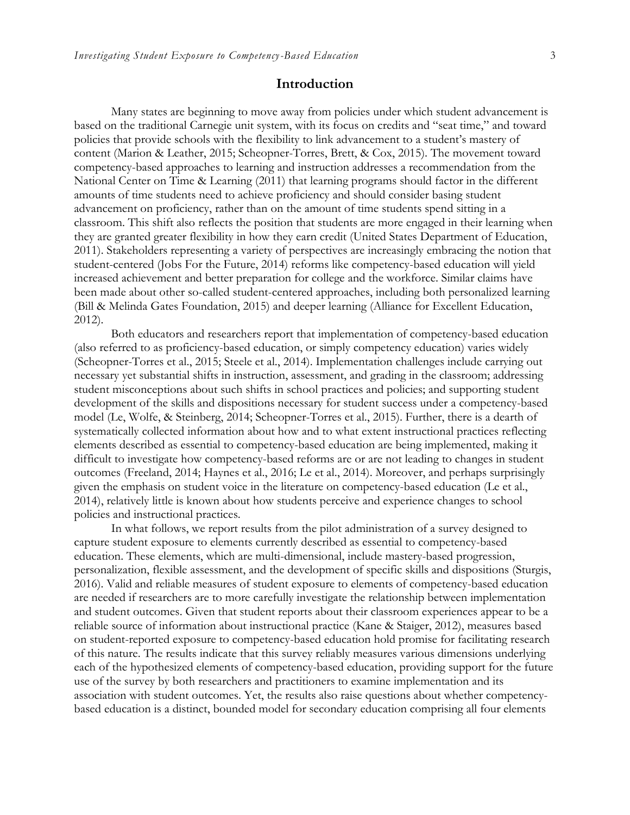# **Introduction**

Many states are beginning to move away from policies under which student advancement is based on the traditional Carnegie unit system, with its focus on credits and "seat time," and toward policies that provide schools with the flexibility to link advancement to a student's mastery of content (Marion & Leather, 2015; Scheopner-Torres, Brett, & Cox, 2015). The movement toward competency-based approaches to learning and instruction addresses a recommendation from the National Center on Time & Learning (2011) that learning programs should factor in the different amounts of time students need to achieve proficiency and should consider basing student advancement on proficiency, rather than on the amount of time students spend sitting in a classroom. This shift also reflects the position that students are more engaged in their learning when they are granted greater flexibility in how they earn credit (United States Department of Education, 2011). Stakeholders representing a variety of perspectives are increasingly embracing the notion that student-centered (Jobs For the Future, 2014) reforms like competency-based education will yield increased achievement and better preparation for college and the workforce. Similar claims have been made about other so-called student-centered approaches, including both personalized learning (Bill & Melinda Gates Foundation, 2015) and deeper learning (Alliance for Excellent Education, 2012).

Both educators and researchers report that implementation of competency-based education (also referred to as proficiency-based education, or simply competency education) varies widely (Scheopner-Torres et al., 2015; Steele et al., 2014). Implementation challenges include carrying out necessary yet substantial shifts in instruction, assessment, and grading in the classroom; addressing student misconceptions about such shifts in school practices and policies; and supporting student development of the skills and dispositions necessary for student success under a competency-based model (Le, Wolfe, & Steinberg, 2014; Scheopner-Torres et al., 2015). Further, there is a dearth of systematically collected information about how and to what extent instructional practices reflecting elements described as essential to competency-based education are being implemented, making it difficult to investigate how competency-based reforms are or are not leading to changes in student outcomes (Freeland, 2014; Haynes et al., 2016; Le et al., 2014). Moreover, and perhaps surprisingly given the emphasis on student voice in the literature on competency-based education (Le et al., 2014), relatively little is known about how students perceive and experience changes to school policies and instructional practices.

In what follows, we report results from the pilot administration of a survey designed to capture student exposure to elements currently described as essential to competency-based education. These elements, which are multi-dimensional, include mastery-based progression, personalization, flexible assessment, and the development of specific skills and dispositions (Sturgis, 2016). Valid and reliable measures of student exposure to elements of competency-based education are needed if researchers are to more carefully investigate the relationship between implementation and student outcomes. Given that student reports about their classroom experiences appear to be a reliable source of information about instructional practice (Kane & Staiger, 2012), measures based on student-reported exposure to competency-based education hold promise for facilitating research of this nature. The results indicate that this survey reliably measures various dimensions underlying each of the hypothesized elements of competency-based education, providing support for the future use of the survey by both researchers and practitioners to examine implementation and its association with student outcomes. Yet, the results also raise questions about whether competencybased education is a distinct, bounded model for secondary education comprising all four elements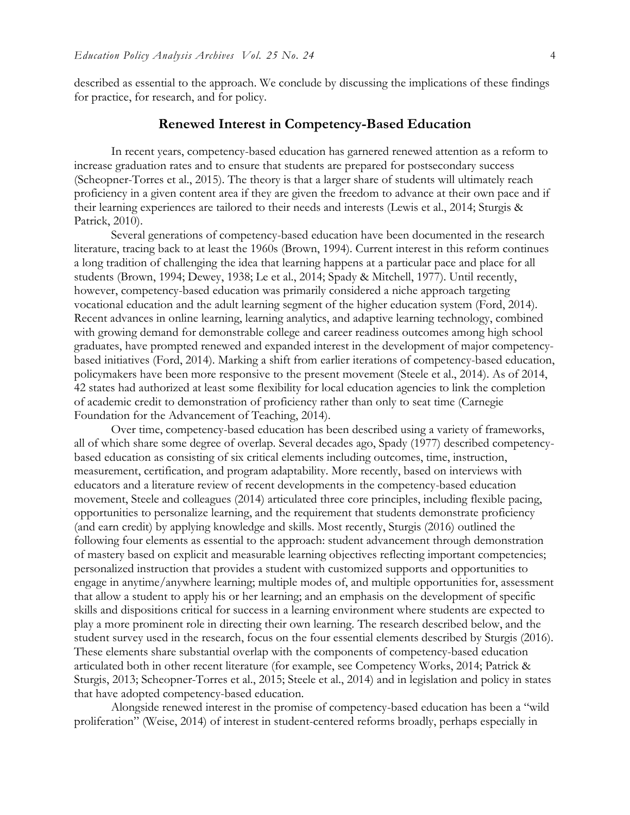described as essential to the approach. We conclude by discussing the implications of these findings for practice, for research, and for policy.

# **Renewed Interest in Competency-Based Education**

In recent years, competency-based education has garnered renewed attention as a reform to increase graduation rates and to ensure that students are prepared for postsecondary success (Scheopner-Torres et al., 2015). The theory is that a larger share of students will ultimately reach proficiency in a given content area if they are given the freedom to advance at their own pace and if their learning experiences are tailored to their needs and interests (Lewis et al., 2014; Sturgis & Patrick, 2010).

Several generations of competency-based education have been documented in the research literature, tracing back to at least the 1960s (Brown, 1994). Current interest in this reform continues a long tradition of challenging the idea that learning happens at a particular pace and place for all students (Brown, 1994; Dewey, 1938; Le et al., 2014; Spady & Mitchell, 1977). Until recently, however, competency-based education was primarily considered a niche approach targeting vocational education and the adult learning segment of the higher education system (Ford, 2014). Recent advances in online learning, learning analytics, and adaptive learning technology, combined with growing demand for demonstrable college and career readiness outcomes among high school graduates, have prompted renewed and expanded interest in the development of major competencybased initiatives (Ford, 2014). Marking a shift from earlier iterations of competency-based education, policymakers have been more responsive to the present movement (Steele et al., 2014). As of 2014, 42 states had authorized at least some flexibility for local education agencies to link the completion of academic credit to demonstration of proficiency rather than only to seat time (Carnegie Foundation for the Advancement of Teaching, 2014).

Over time, competency-based education has been described using a variety of frameworks, all of which share some degree of overlap. Several decades ago, Spady (1977) described competencybased education as consisting of six critical elements including outcomes, time, instruction, measurement, certification, and program adaptability. More recently, based on interviews with educators and a literature review of recent developments in the competency-based education movement, Steele and colleagues (2014) articulated three core principles, including flexible pacing, opportunities to personalize learning, and the requirement that students demonstrate proficiency (and earn credit) by applying knowledge and skills. Most recently, Sturgis (2016) outlined the following four elements as essential to the approach: student advancement through demonstration of mastery based on explicit and measurable learning objectives reflecting important competencies; personalized instruction that provides a student with customized supports and opportunities to engage in anytime/anywhere learning; multiple modes of, and multiple opportunities for, assessment that allow a student to apply his or her learning; and an emphasis on the development of specific skills and dispositions critical for success in a learning environment where students are expected to play a more prominent role in directing their own learning. The research described below, and the student survey used in the research, focus on the four essential elements described by Sturgis (2016). These elements share substantial overlap with the components of competency-based education articulated both in other recent literature (for example, see Competency Works, 2014; Patrick & Sturgis, 2013; Scheopner-Torres et al., 2015; Steele et al., 2014) and in legislation and policy in states that have adopted competency-based education.

Alongside renewed interest in the promise of competency-based education has been a "wild proliferation" (Weise, 2014) of interest in student-centered reforms broadly, perhaps especially in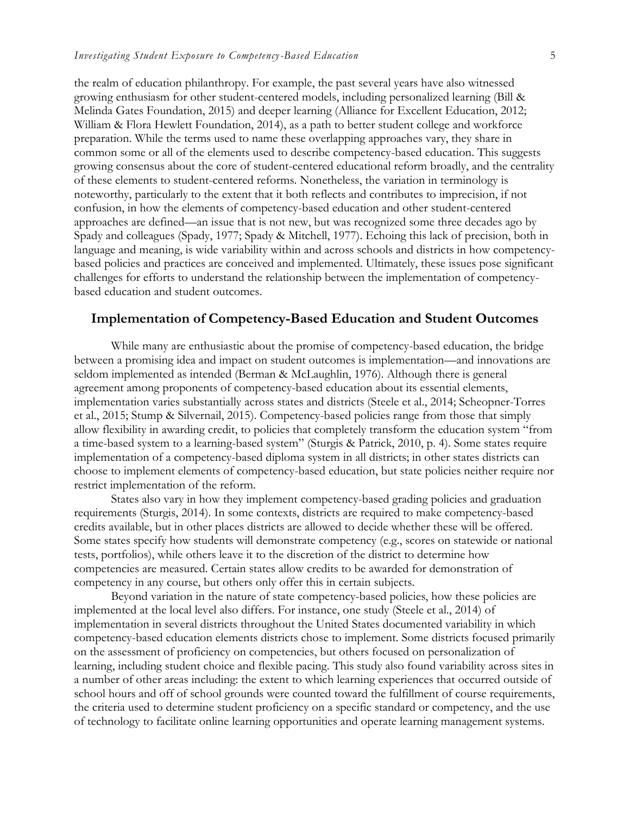the realm of education philanthropy. For example, the past several years have also witnessed growing enthusiasm for other student-centered models, including personalized learning (Bill & Melinda Gates Foundation, 2015) and deeper learning (Alliance for Excellent Education, 2012; William & Flora Hewlett Foundation, 2014), as a path to better student college and workforce preparation. While the terms used to name these overlapping approaches vary, they share in common some or all of the elements used to describe competency-based education. This suggests growing consensus about the core of student-centered educational reform broadly, and the centrality of these elements to student-centered reforms. Nonetheless, the variation in terminology is noteworthy, particularly to the extent that it both reflects and contributes to imprecision, if not confusion, in how the elements of competency-based education and other student-centered approaches are defined—an issue that is not new, but was recognized some three decades ago by Spady and colleagues (Spady, 1977; Spady & Mitchell, 1977). Echoing this lack of precision, both in language and meaning, is wide variability within and across schools and districts in how competencybased policies and practices are conceived and implemented. Ultimately, these issues pose significant challenges for efforts to understand the relationship between the implementation of competencybased education and student outcomes.

# **Implementation of Competency-Based Education and Student Outcomes**

While many are enthusiastic about the promise of competency-based education, the bridge between a promising idea and impact on student outcomes is implementation—and innovations are seldom implemented as intended (Berman & McLaughlin, 1976). Although there is general agreement among proponents of competency-based education about its essential elements, implementation varies substantially across states and districts (Steele et al., 2014; Scheopner-Torres et al., 2015; Stump & Silvernail, 2015). Competency-based policies range from those that simply allow flexibility in awarding credit, to policies that completely transform the education system "from a time-based system to a learning-based system" (Sturgis & Patrick, 2010, p. 4). Some states require implementation of a competency-based diploma system in all districts; in other states districts can choose to implement elements of competency-based education, but state policies neither require nor restrict implementation of the reform.

States also vary in how they implement competency-based grading policies and graduation requirements (Sturgis, 2014). In some contexts, districts are required to make competency-based credits available, but in other places districts are allowed to decide whether these will be offered. Some states specify how students will demonstrate competency (e.g., scores on statewide or national tests, portfolios), while others leave it to the discretion of the district to determine how competencies are measured. Certain states allow credits to be awarded for demonstration of competency in any course, but others only offer this in certain subjects.

Beyond variation in the nature of state competency-based policies, how these policies are implemented at the local level also differs. For instance, one study (Steele et al., 2014) of implementation in several districts throughout the United States documented variability in which competency-based education elements districts chose to implement. Some districts focused primarily on the assessment of proficiency on competencies, but others focused on personalization of learning, including student choice and flexible pacing. This study also found variability across sites in a number of other areas including: the extent to which learning experiences that occurred outside of school hours and off of school grounds were counted toward the fulfillment of course requirements, the criteria used to determine student proficiency on a specific standard or competency, and the use of technology to facilitate online learning opportunities and operate learning management systems.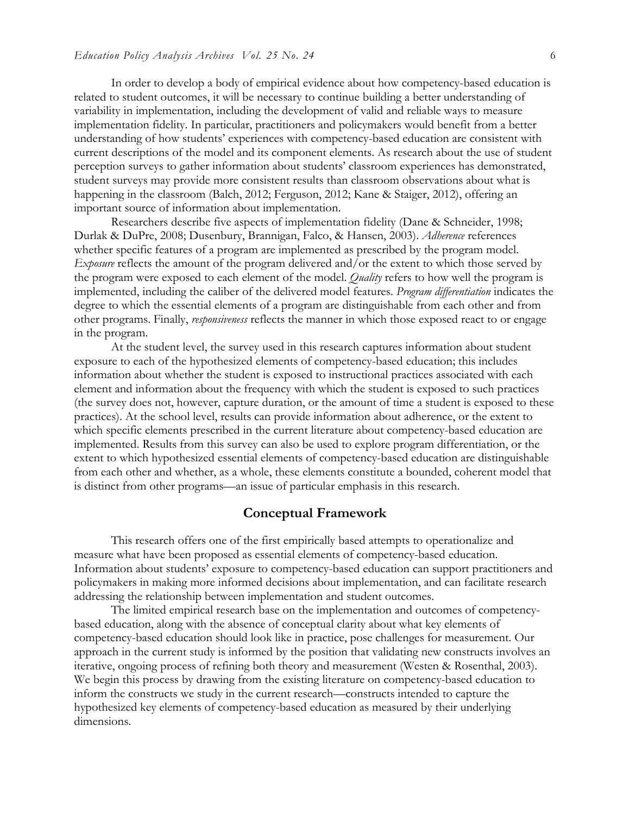In order to develop a body of empirical evidence about how competency-based education is related to student outcomes, it will be necessary to continue building a better understanding of variability in implementation, including the development of valid and reliable ways to measure implementation fidelity. In particular, practitioners and policymakers would benefit from a better understanding of how students' experiences with competency-based education are consistent with current descriptions of the model and its component elements. As research about the use of student perception surveys to gather information about students' classroom experiences has demonstrated, student surveys may provide more consistent results than classroom observations about what is happening in the classroom (Balch, 2012; Ferguson, 2012; Kane & Staiger, 2012), offering an important source of information about implementation.

Researchers describe five aspects of implementation fidelity (Dane & Schneider, 1998; Durlak & DuPre, 2008; Dusenbury, Brannigan, Falco, & Hansen, 2003). *Adherence* references whether specific features of a program are implemented as prescribed by the program model. *Exposure* reflects the amount of the program delivered and/or the extent to which those served by the program were exposed to each element of the model. *Quality* refers to how well the program is implemented, including the caliber of the delivered model features. *Program differentiation* indicates the degree to which the essential elements of a program are distinguishable from each other and from other programs. Finally, *responsiveness* reflects the manner in which those exposed react to or engage in the program.

At the student level, the survey used in this research captures information about student exposure to each of the hypothesized elements of competency-based education; this includes information about whether the student is exposed to instructional practices associated with each element and information about the frequency with which the student is exposed to such practices (the survey does not, however, capture duration, or the amount of time a student is exposed to these practices). At the school level, results can provide information about adherence, or the extent to which specific elements prescribed in the current literature about competency-based education are implemented. Results from this survey can also be used to explore program differentiation, or the extent to which hypothesized essential elements of competency-based education are distinguishable from each other and whether, as a whole, these elements constitute a bounded, coherent model that is distinct from other programs—an issue of particular emphasis in this research.

## **Conceptual Framework**

This research offers one of the first empirically based attempts to operationalize and measure what have been proposed as essential elements of competency-based education. Information about students' exposure to competency-based education can support practitioners and policymakers in making more informed decisions about implementation, and can facilitate research addressing the relationship between implementation and student outcomes.

The limited empirical research base on the implementation and outcomes of competencybased education, along with the absence of conceptual clarity about what key elements of competency-based education should look like in practice, pose challenges for measurement. Our approach in the current study is informed by the position that validating new constructs involves an iterative, ongoing process of refining both theory and measurement (Westen & Rosenthal, 2003). We begin this process by drawing from the existing literature on competency-based education to inform the constructs we study in the current research—constructs intended to capture the hypothesized key elements of competency-based education as measured by their underlying dimensions.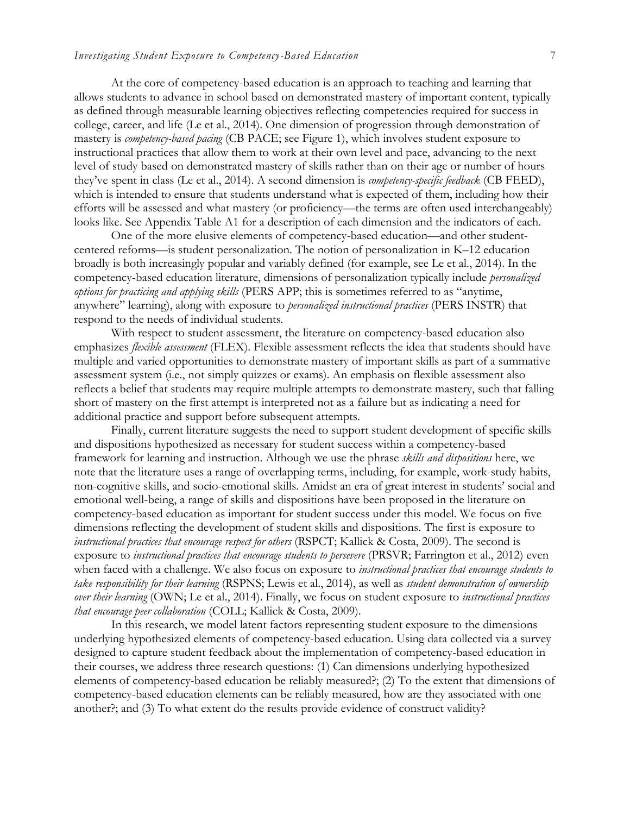At the core of competency-based education is an approach to teaching and learning that allows students to advance in school based on demonstrated mastery of important content, typically as defined through measurable learning objectives reflecting competencies required for success in college, career, and life (Le et al., 2014). One dimension of progression through demonstration of mastery is *competency-based pacing* (CB PACE; see Figure 1), which involves student exposure to instructional practices that allow them to work at their own level and pace, advancing to the next level of study based on demonstrated mastery of skills rather than on their age or number of hours they've spent in class (Le et al., 2014). A second dimension is *competency-specific feedback* (CB FEED), which is intended to ensure that students understand what is expected of them, including how their efforts will be assessed and what mastery (or proficiency—the terms are often used interchangeably) looks like. See Appendix Table A1 for a description of each dimension and the indicators of each.

One of the more elusive elements of competency-based education—and other studentcentered reforms—is student personalization. The notion of personalization in K–12 education broadly is both increasingly popular and variably defined (for example, see Le et al., 2014). In the competency-based education literature, dimensions of personalization typically include *personalized options for practicing and applying skills* (PERS APP; this is sometimes referred to as "anytime, anywhere" learning), along with exposure to *personalized instructional practices* (PERS INSTR) that respond to the needs of individual students.

With respect to student assessment, the literature on competency-based education also emphasizes *flexible assessment* (FLEX). Flexible assessment reflects the idea that students should have multiple and varied opportunities to demonstrate mastery of important skills as part of a summative assessment system (i.e., not simply quizzes or exams). An emphasis on flexible assessment also reflects a belief that students may require multiple attempts to demonstrate mastery, such that falling short of mastery on the first attempt is interpreted not as a failure but as indicating a need for additional practice and support before subsequent attempts.

Finally, current literature suggests the need to support student development of specific skills and dispositions hypothesized as necessary for student success within a competency-based framework for learning and instruction. Although we use the phrase *skills and dispositions* here, we note that the literature uses a range of overlapping terms, including, for example, work-study habits, non-cognitive skills, and socio-emotional skills. Amidst an era of great interest in students' social and emotional well-being, a range of skills and dispositions have been proposed in the literature on competency-based education as important for student success under this model. We focus on five dimensions reflecting the development of student skills and dispositions. The first is exposure to *instructional practices that encourage respect for others* (RSPCT; Kallick & Costa, 2009). The second is exposure to *instructional practices that encourage students to persevere* (PRSVR; Farrington et al., 2012) even when faced with a challenge. We also focus on exposure to *instructional practices that encourage students to take responsibility for their learning* (RSPNS; Lewis et al., 2014), as well as *student demonstration of ownership over their learning* (OWN; Le et al., 2014). Finally, we focus on student exposure to *instructional practices that encourage peer collaboration* (COLL; Kallick & Costa, 2009).

In this research, we model latent factors representing student exposure to the dimensions underlying hypothesized elements of competency-based education. Using data collected via a survey designed to capture student feedback about the implementation of competency-based education in their courses, we address three research questions: (1) Can dimensions underlying hypothesized elements of competency-based education be reliably measured?; (2) To the extent that dimensions of competency-based education elements can be reliably measured, how are they associated with one another?; and (3) To what extent do the results provide evidence of construct validity?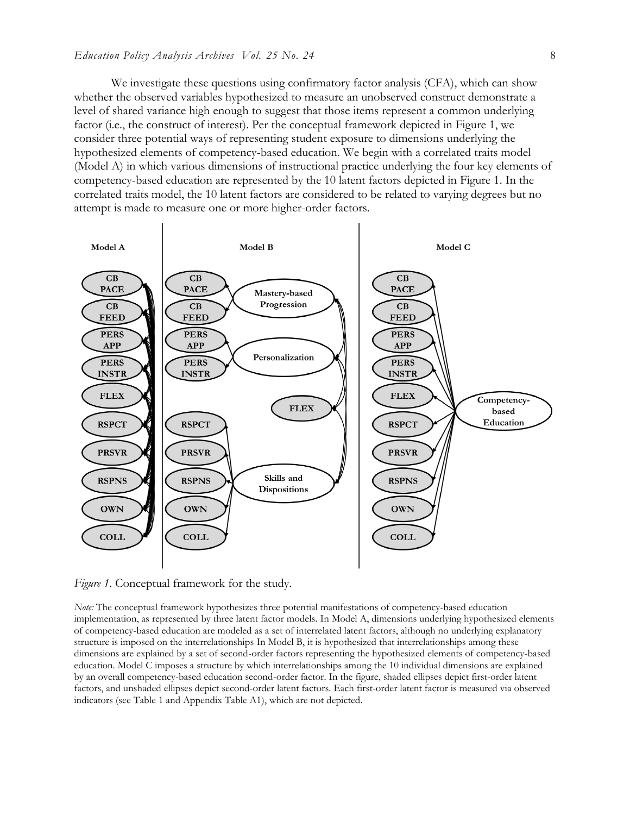We investigate these questions using confirmatory factor analysis (CFA), which can show whether the observed variables hypothesized to measure an unobserved construct demonstrate a level of shared variance high enough to suggest that those items represent a common underlying factor (i.e., the construct of interest). Per the conceptual framework depicted in Figure 1, we consider three potential ways of representing student exposure to dimensions underlying the hypothesized elements of competency-based education. We begin with a correlated traits model (Model A) in which various dimensions of instructional practice underlying the four key elements of competency-based education are represented by the 10 latent factors depicted in Figure 1. In the correlated traits model, the 10 latent factors are considered to be related to varying degrees but no attempt is made to measure one or more higher-order factors.



*Figure 1*. Conceptual framework for the study.

*Note:* The conceptual framework hypothesizes three potential manifestations of competency-based education implementation, as represented by three latent factor models. In Model A, dimensions underlying hypothesized elements of competency-based education are modeled as a set of interrelated latent factors, although no underlying explanatory structure is imposed on the interrelationships In Model B, it is hypothesized that interrelationships among these dimensions are explained by a set of second-order factors representing the hypothesized elements of competency-based education. Model C imposes a structure by which interrelationships among the 10 individual dimensions are explained by an overall competency-based education second-order factor. In the figure, shaded ellipses depict first-order latent factors, and unshaded ellipses depict second-order latent factors. Each first-order latent factor is measured via observed indicators (see Table 1 and Appendix Table A1), which are not depicted.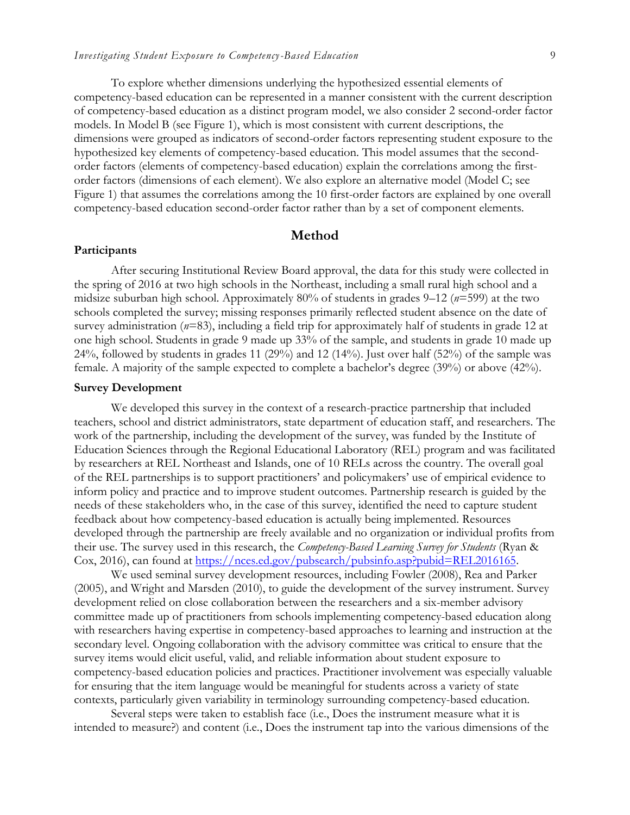To explore whether dimensions underlying the hypothesized essential elements of competency-based education can be represented in a manner consistent with the current description of competency-based education as a distinct program model, we also consider 2 second-order factor models. In Model B (see Figure 1), which is most consistent with current descriptions, the dimensions were grouped as indicators of second-order factors representing student exposure to the hypothesized key elements of competency-based education. This model assumes that the secondorder factors (elements of competency-based education) explain the correlations among the firstorder factors (dimensions of each element). We also explore an alternative model (Model C; see Figure 1) that assumes the correlations among the 10 first-order factors are explained by one overall competency-based education second-order factor rather than by a set of component elements.

# **Method**

#### **Participants**

After securing Institutional Review Board approval, the data for this study were collected in the spring of 2016 at two high schools in the Northeast, including a small rural high school and a midsize suburban high school. Approximately 80% of students in grades 9–12 (*n*=599) at the two schools completed the survey; missing responses primarily reflected student absence on the date of survey administration (*n*=83), including a field trip for approximately half of students in grade 12 at one high school. Students in grade 9 made up 33% of the sample, and students in grade 10 made up 24%, followed by students in grades 11 (29%) and 12 (14%). Just over half (52%) of the sample was female. A majority of the sample expected to complete a bachelor's degree (39%) or above (42%).

## **Survey Development**

We developed this survey in the context of a research-practice partnership that included teachers, school and district administrators, state department of education staff, and researchers. The work of the partnership, including the development of the survey, was funded by the Institute of Education Sciences through the Regional Educational Laboratory (REL) program and was facilitated by researchers at REL Northeast and Islands, one of 10 RELs across the country. The overall goal of the REL partnerships is to support practitioners' and policymakers' use of empirical evidence to inform policy and practice and to improve student outcomes. Partnership research is guided by the needs of these stakeholders who, in the case of this survey, identified the need to capture student feedback about how competency-based education is actually being implemented. Resources developed through the partnership are freely available and no organization or individual profits from their use. The survey used in this research, the *Competency-Based Learning Survey for Students* (Ryan & Cox, 2016), can found at [https://nces.ed.gov/pubsearch/pubsinfo.asp?pubid=REL2016165.](https://nces.ed.gov/pubsearch/pubsinfo.asp?pubid=REL2016165)

We used seminal survey development resources, including Fowler (2008), Rea and Parker (2005), and Wright and Marsden (2010), to guide the development of the survey instrument. Survey development relied on close collaboration between the researchers and a six-member advisory committee made up of practitioners from schools implementing competency-based education along with researchers having expertise in competency-based approaches to learning and instruction at the secondary level. Ongoing collaboration with the advisory committee was critical to ensure that the survey items would elicit useful, valid, and reliable information about student exposure to competency-based education policies and practices. Practitioner involvement was especially valuable for ensuring that the item language would be meaningful for students across a variety of state contexts, particularly given variability in terminology surrounding competency-based education.

Several steps were taken to establish face (i.e., Does the instrument measure what it is intended to measure?) and content (i.e., Does the instrument tap into the various dimensions of the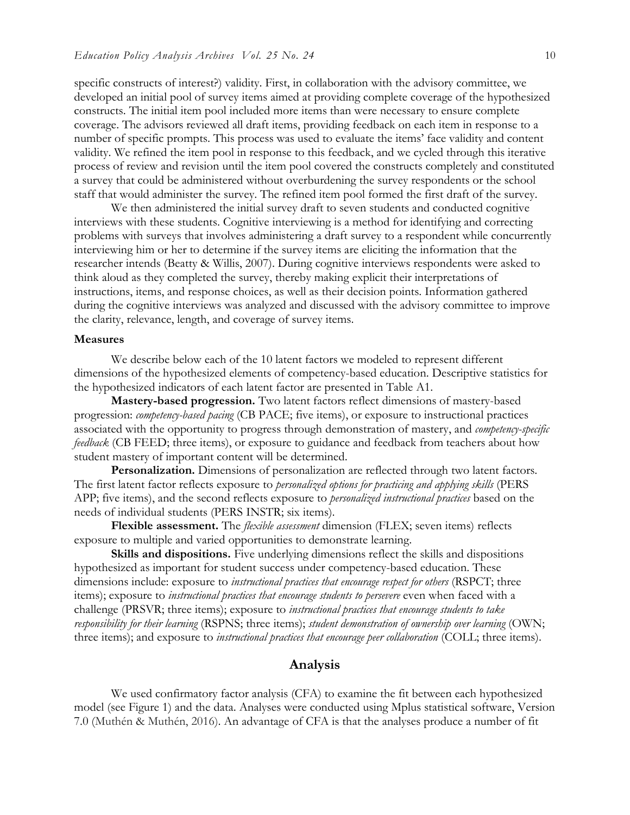specific constructs of interest?) validity. First, in collaboration with the advisory committee, we developed an initial pool of survey items aimed at providing complete coverage of the hypothesized constructs. The initial item pool included more items than were necessary to ensure complete coverage. The advisors reviewed all draft items, providing feedback on each item in response to a number of specific prompts. This process was used to evaluate the items' face validity and content validity. We refined the item pool in response to this feedback, and we cycled through this iterative process of review and revision until the item pool covered the constructs completely and constituted a survey that could be administered without overburdening the survey respondents or the school staff that would administer the survey. The refined item pool formed the first draft of the survey.

We then administered the initial survey draft to seven students and conducted cognitive interviews with these students. Cognitive interviewing is a method for identifying and correcting problems with surveys that involves administering a draft survey to a respondent while concurrently interviewing him or her to determine if the survey items are eliciting the information that the researcher intends (Beatty & Willis, 2007). During cognitive interviews respondents were asked to think aloud as they completed the survey, thereby making explicit their interpretations of instructions, items, and response choices, as well as their decision points. Information gathered during the cognitive interviews was analyzed and discussed with the advisory committee to improve the clarity, relevance, length, and coverage of survey items.

# **Measures**

We describe below each of the 10 latent factors we modeled to represent different dimensions of the hypothesized elements of competency-based education. Descriptive statistics for the hypothesized indicators of each latent factor are presented in Table A1.

**Mastery-based progression.** Two latent factors reflect dimensions of mastery-based progression: *competency-based pacing* (CB PACE; five items), or exposure to instructional practices associated with the opportunity to progress through demonstration of mastery, and *competency-specific feedback* (CB FEED; three items), or exposure to guidance and feedback from teachers about how student mastery of important content will be determined.

**Personalization.** Dimensions of personalization are reflected through two latent factors. The first latent factor reflects exposure to *personalized options for practicing and applying skills* (PERS APP; five items), and the second reflects exposure to *personalized instructional practices* based on the needs of individual students (PERS INSTR; six items).

**Flexible assessment.** The *flexible assessment* dimension (FLEX; seven items) reflects exposure to multiple and varied opportunities to demonstrate learning.

**Skills and dispositions.** Five underlying dimensions reflect the skills and dispositions hypothesized as important for student success under competency-based education. These dimensions include: exposure to *instructional practices that encourage respect for others* (RSPCT; three items); exposure to *instructional practices that encourage students to persevere* even when faced with a challenge (PRSVR; three items); exposure to *instructional practices that encourage students to take responsibility for their learning* (RSPNS; three items); *student demonstration of ownership over learning* (OWN; three items); and exposure to *instructional practices that encourage peer collaboration* (COLL; three items).

# **Analysis**

We used confirmatory factor analysis (CFA) to examine the fit between each hypothesized model (see Figure 1) and the data. Analyses were conducted using Mplus statistical software, Version 7.0 (Muthén & Muthén, 2016). An advantage of CFA is that the analyses produce a number of fit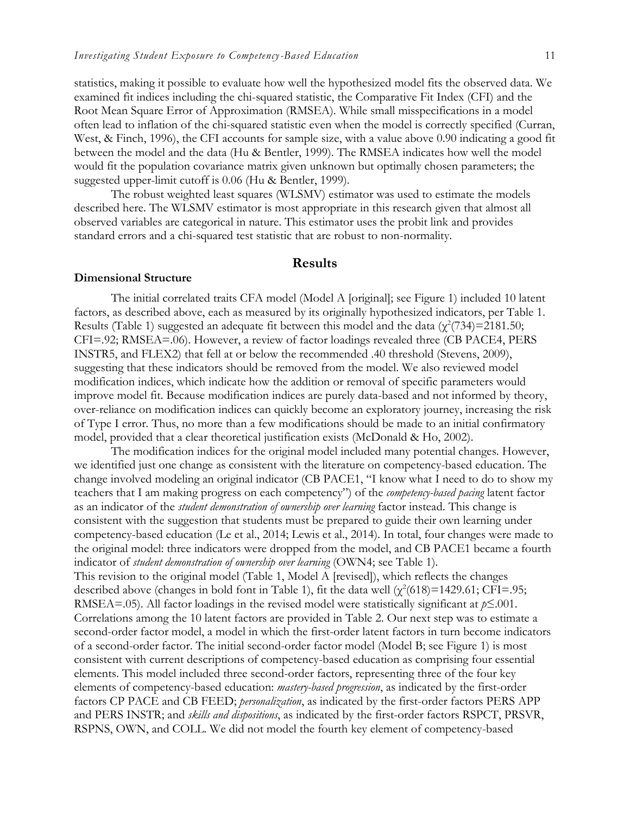statistics, making it possible to evaluate how well the hypothesized model fits the observed data. We examined fit indices including the chi-squared statistic, the Comparative Fit Index (CFI) and the Root Mean Square Error of Approximation (RMSEA). While small misspecifications in a model often lead to inflation of the chi-squared statistic even when the model is correctly specified (Curran, West, & Finch, 1996), the CFI accounts for sample size, with a value above 0.90 indicating a good fit between the model and the data (Hu & Bentler, 1999). The RMSEA indicates how well the model would fit the population covariance matrix given unknown but optimally chosen parameters; the suggested upper-limit cutoff is 0.06 (Hu & Bentler, 1999).

The robust weighted least squares (WLSMV) estimator was used to estimate the models described here. The WLSMV estimator is most appropriate in this research given that almost all observed variables are categorical in nature. This estimator uses the probit link and provides standard errors and a chi-squared test statistic that are robust to non-normality.

## **Results**

# **Dimensional Structure**

The initial correlated traits CFA model (Model A [original]; see Figure 1) included 10 latent factors, as described above, each as measured by its originally hypothesized indicators, per Table 1. Results (Table 1) suggested an adequate fit between this model and the data  $(\chi^2(734)=2181.50;$ CFI=.92; RMSEA=.06). However, a review of factor loadings revealed three (CB PACE4, PERS INSTR5, and FLEX2) that fell at or below the recommended .40 threshold (Stevens, 2009), suggesting that these indicators should be removed from the model. We also reviewed model modification indices, which indicate how the addition or removal of specific parameters would improve model fit. Because modification indices are purely data-based and not informed by theory, over-reliance on modification indices can quickly become an exploratory journey, increasing the risk of Type I error. Thus, no more than a few modifications should be made to an initial confirmatory model, provided that a clear theoretical justification exists (McDonald & Ho, 2002).

The modification indices for the original model included many potential changes. However, we identified just one change as consistent with the literature on competency-based education. The change involved modeling an original indicator (CB PACE1, "I know what I need to do to show my teachers that I am making progress on each competency") of the *competency-based pacing* latent factor as an indicator of the *student demonstration of ownership over learning* factor instead. This change is consistent with the suggestion that students must be prepared to guide their own learning under competency-based education (Le et al., 2014; Lewis et al., 2014). In total, four changes were made to the original model: three indicators were dropped from the model, and CB PACE1 became a fourth indicator of *student demonstration of ownership over learning* (OWN4; see Table 1). This revision to the original model (Table 1, Model A [revised]), which reflects the changes described above (changes in bold font in Table 1), fit the data well  $(\chi^2(618)=1429.61;$  CFI=.95; RMSEA=.05). All factor loadings in the revised model were statistically significant at *p*≤.001. Correlations among the 10 latent factors are provided in Table 2. Our next step was to estimate a second-order factor model, a model in which the first-order latent factors in turn become indicators of a second-order factor. The initial second-order factor model (Model B; see Figure 1) is most consistent with current descriptions of competency-based education as comprising four essential elements. This model included three second-order factors, representing three of the four key elements of competency-based education: *mastery-based progression*, as indicated by the first-order factors CP PACE and CB FEED; *personalization*, as indicated by the first-order factors PERS APP and PERS INSTR; and *skills and dispositions*, as indicated by the first-order factors RSPCT, PRSVR,

RSPNS, OWN, and COLL. We did not model the fourth key element of competency-based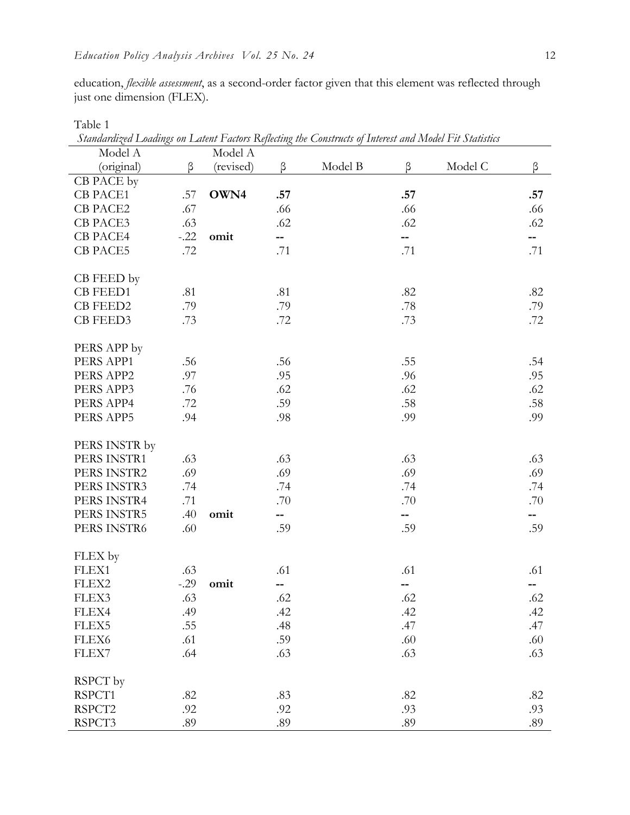education, *flexible assessment*, as a second-order factor given that this element was reflected through just one dimension (FLEX).

| Standardized Loadings on Latent Factors Reflecting the Constructs of Interest and Model Fit Statistics |        |           |     |         |     |         |     |
|--------------------------------------------------------------------------------------------------------|--------|-----------|-----|---------|-----|---------|-----|
| Model A                                                                                                |        | Model A   |     |         |     |         |     |
| (original)                                                                                             | β      | (revised) | β   | Model B | β   | Model C | β   |
| CB PACE by                                                                                             |        |           |     |         |     |         |     |
| <b>CB PACE1</b>                                                                                        | .57    | OWN4      | .57 |         | .57 |         | .57 |
| <b>CB PACE2</b>                                                                                        | .67    |           | .66 |         | .66 |         | .66 |
| CB PACE3                                                                                               | .63    |           | .62 |         | .62 |         | .62 |
| CB PACE4                                                                                               | $-.22$ | omit      | --  |         | --  |         | --  |
| <b>CB PACE5</b>                                                                                        | .72    |           | .71 |         | .71 |         | .71 |
|                                                                                                        |        |           |     |         |     |         |     |
| CB FEED by                                                                                             |        |           |     |         |     |         |     |
| <b>CB FEED1</b>                                                                                        | .81    |           | .81 |         | .82 |         | .82 |
| <b>CB FEED2</b>                                                                                        | .79    |           | .79 |         | .78 |         | .79 |
| CB FEED3                                                                                               | .73    |           | .72 |         | .73 |         | .72 |
|                                                                                                        |        |           |     |         |     |         |     |
| PERS APP by                                                                                            |        |           |     |         |     |         |     |
| PERS APP1                                                                                              | .56    |           | .56 |         | .55 |         | .54 |
| PERS APP2                                                                                              | .97    |           | .95 |         | .96 |         | .95 |
| PERS APP3                                                                                              | .76    |           | .62 |         | .62 |         | .62 |
| PERS APP4                                                                                              | .72    |           | .59 |         | .58 |         | .58 |
| PERS APP5                                                                                              | .94    |           | .98 |         | .99 |         | .99 |
|                                                                                                        |        |           |     |         |     |         |     |
| PERS INSTR by                                                                                          |        |           |     |         |     |         |     |
| PERS INSTR1                                                                                            | .63    |           | .63 |         | .63 |         | .63 |
| PERS INSTR2                                                                                            | .69    |           | .69 |         | .69 |         | .69 |
| PERS INSTR3                                                                                            | .74    |           | .74 |         | .74 |         | .74 |
| PERS INSTR4                                                                                            | .71    |           | .70 |         | .70 |         | .70 |
| PERS INSTR5                                                                                            | .40    | omit      | -−  |         | н.  |         | -−  |
| PERS INSTR6                                                                                            | .60    |           | .59 |         | .59 |         | .59 |
|                                                                                                        |        |           |     |         |     |         |     |
| FLEX by                                                                                                |        |           |     |         |     |         |     |
| FLEX1                                                                                                  | .63    |           | .61 |         | .61 |         | .61 |
| FLEX2                                                                                                  | $-.29$ | omit      | --  |         | --  |         | --  |
| FLEX3                                                                                                  | .63    |           | .62 |         | .62 |         | .62 |
| FLEX4                                                                                                  | .49    |           | .42 |         | .42 |         | .42 |
| FLEX5                                                                                                  | .55    |           | .48 |         | .47 |         | .47 |
| FLEX6                                                                                                  | .61    |           | .59 |         | .60 |         | .60 |
| FLEX7                                                                                                  | .64    |           | .63 |         | .63 |         | .63 |
|                                                                                                        |        |           |     |         |     |         |     |
| RSPCT by                                                                                               |        |           |     |         |     |         |     |
| RSPCT1                                                                                                 | .82    |           | .83 |         | .82 |         | .82 |
| RSPCT2                                                                                                 | .92    |           | .92 |         | .93 |         | .93 |
| RSPCT3                                                                                                 | .89    |           | .89 |         | .89 |         | .89 |
|                                                                                                        |        |           |     |         |     |         |     |

Table 1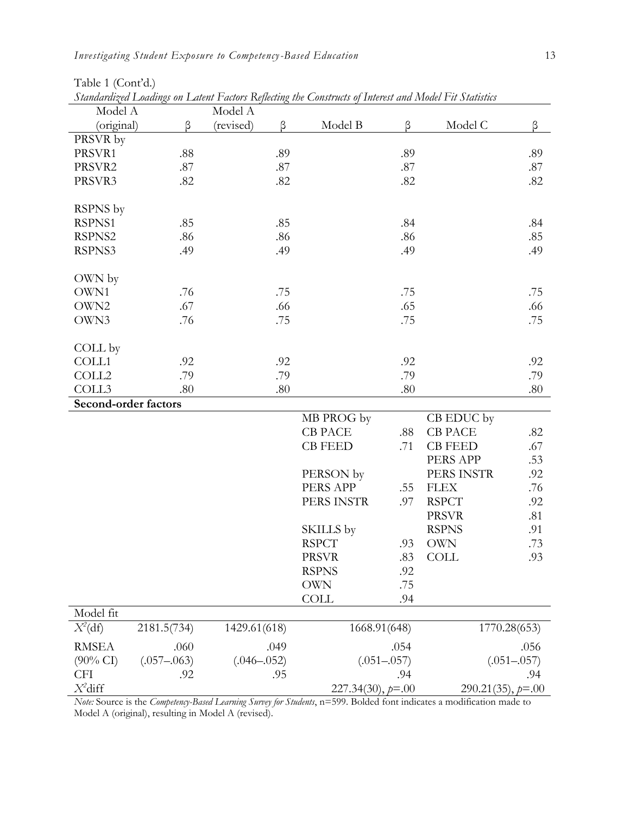| Model A                     |                 | Sumanaza Louangs on Laieni 1 aaons Ixpaang in Construes of Interest and Irloaci 1 a Statistics<br>Model A |                       |                 |                       |                 |
|-----------------------------|-----------------|-----------------------------------------------------------------------------------------------------------|-----------------------|-----------------|-----------------------|-----------------|
| (original)                  | β               | (revised)<br>β                                                                                            | Model B               | β               | Model C               | β               |
| PRSVR by                    |                 |                                                                                                           |                       |                 |                       |                 |
| PRSVR1                      | $.88\,$         | .89                                                                                                       |                       | .89             |                       | .89             |
| PRSVR2                      | $.87\,$         | .87                                                                                                       |                       | .87             |                       | .87             |
| PRSVR3                      | .82             | .82                                                                                                       |                       | .82             |                       | .82             |
|                             |                 |                                                                                                           |                       |                 |                       |                 |
| RSPNS by                    |                 |                                                                                                           |                       |                 |                       |                 |
| RSPNS1                      | .85             | .85                                                                                                       |                       | .84             |                       | .84             |
| RSPNS2                      | .86             | .86                                                                                                       |                       | .86             |                       | .85             |
| RSPNS3                      | .49             | .49                                                                                                       |                       | .49             |                       | .49             |
|                             |                 |                                                                                                           |                       |                 |                       |                 |
| OWN by                      |                 |                                                                                                           |                       |                 |                       |                 |
| OWN1                        | .76             | .75                                                                                                       |                       | .75             |                       | .75             |
| OWN2                        | .67             | .66                                                                                                       |                       | .65             |                       | .66             |
| OWN3                        | .76             | .75                                                                                                       |                       | .75             |                       | .75             |
|                             |                 |                                                                                                           |                       |                 |                       |                 |
| COLL by                     |                 |                                                                                                           |                       |                 |                       |                 |
| COLL1                       | .92             | .92                                                                                                       |                       | .92             |                       | .92             |
| COLL2                       | .79             | .79                                                                                                       |                       | .79             |                       | .79             |
| COLL3                       | .80             | $.80\,$                                                                                                   |                       | .80             |                       | $.80\,$         |
| Second-order factors        |                 |                                                                                                           |                       |                 |                       |                 |
|                             |                 |                                                                                                           | MB PROG by            |                 | CB EDUC by            |                 |
|                             |                 |                                                                                                           | <b>CB PACE</b>        | .88             | <b>CB PACE</b>        | .82             |
|                             |                 |                                                                                                           | <b>CB FEED</b>        | .71             | <b>CB FEED</b>        | .67             |
|                             |                 |                                                                                                           |                       |                 | PERS APP              | .53             |
|                             |                 |                                                                                                           | PERSON by             |                 | PERS INSTR            | .92             |
|                             |                 |                                                                                                           | PERS APP              | .55             | <b>FLEX</b>           | .76             |
|                             |                 |                                                                                                           | PERS INSTR            | .97             | <b>RSPCT</b>          | .92             |
|                             |                 |                                                                                                           |                       |                 | <b>PRSVR</b>          | .81             |
|                             |                 |                                                                                                           | SKILLS by             |                 | <b>RSPNS</b>          | .91             |
|                             |                 |                                                                                                           | <b>RSPCT</b>          | .93             | <b>OWN</b>            | .73             |
|                             |                 |                                                                                                           | <b>PRSVR</b>          | .83             | <b>COLL</b>           | .93             |
|                             |                 |                                                                                                           | <b>RSPNS</b>          | .92             |                       |                 |
|                             |                 |                                                                                                           | <b>OWN</b>            | .75             |                       |                 |
|                             |                 |                                                                                                           | <b>COLL</b>           | .94             |                       |                 |
| Model fit                   |                 |                                                                                                           |                       |                 |                       |                 |
| $X^2(\mathrm{d}\mathrm{f})$ | 2181.5(734)     | 1429.61(618)                                                                                              | 1668.91(648)          |                 |                       | 1770.28(653)    |
| <b>RMSEA</b>                | .060            | .049                                                                                                      |                       | .054            |                       | .056            |
| $(90\% \text{ CI})$         | $(.057 - .063)$ | $(.046 - .052)$                                                                                           |                       | $(.051 - .057)$ |                       | $(.051 - .057)$ |
|                             |                 |                                                                                                           |                       |                 |                       |                 |
| $X^2$ diff                  |                 |                                                                                                           | $227.34(30), p = .00$ |                 | $290.21(35), p = .00$ |                 |
| <b>CFI</b>                  | .92             | .95                                                                                                       |                       | .94             |                       | .94             |
|                             |                 |                                                                                                           |                       |                 |                       |                 |

Table 1 (Cont'd.)

*Standardized Loadings on Latent Factors Reflecting the Constructs of Interest and Model Fit Statistics*

*Note:* Source is the *Competency-Based Learning Survey for Students*, n=599. Bolded font indicates a modification made to Model A (original), resulting in Model A (revised).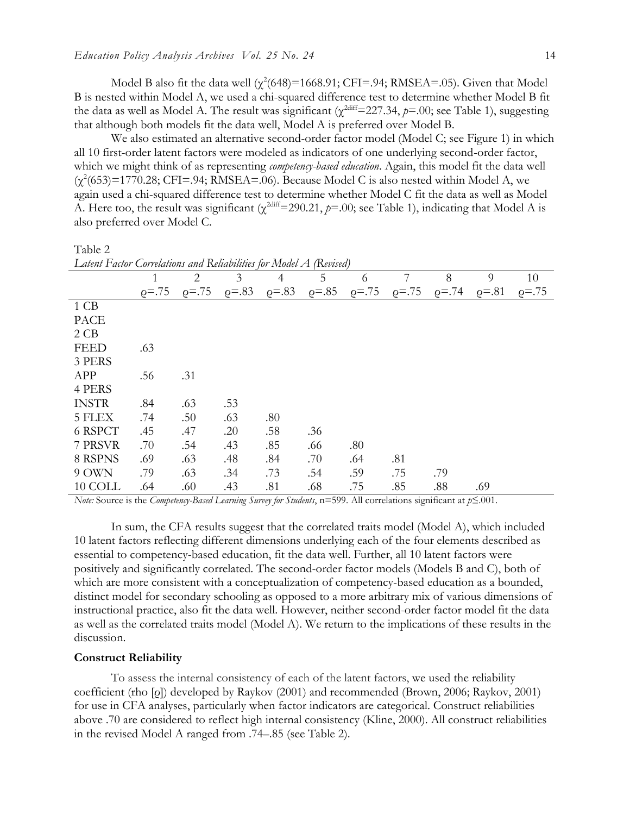Model B also fit the data well  $(\chi^2(648)=1668.91; CFI=.94; RMSEA=.05)$ . Given that Model B is nested within Model A, we used a chi-squared difference test to determine whether Model B fit the data as well as Model A. The result was significant ( $\chi^{2\text{diff}}$ =227.34,  $p$ =.00; see Table 1), suggesting that although both models fit the data well, Model A is preferred over Model B.

We also estimated an alternative second-order factor model (Model C; see Figure 1) in which all 10 first-order latent factors were modeled as indicators of one underlying second-order factor, which we might think of as representing *competency-based education*. Again, this model fit the data well  $(\chi^2(653)=1770.28; CFI=.94; RMSEA=.06)$ . Because Model C is also nested within Model A, we again used a chi-squared difference test to determine whether Model C fit the data as well as Model A. Here too, the result was significant ( $\chi^{2diff}$ =290.21,  $p$ =.00; see Table 1), indicating that Model A is also preferred over Model C.

Table 2

| Latent Factor Correlations and Reliabilities for Model A (Revised) |              |              |            |                |            |            |           |           |            |           |
|--------------------------------------------------------------------|--------------|--------------|------------|----------------|------------|------------|-----------|-----------|------------|-----------|
|                                                                    | 1            | 2            | 3          | $\overline{4}$ | 5          | 6          | 7         | 8         | 9          | 10        |
|                                                                    | $\rho = .75$ | $\rho = .75$ | $p = 0.83$ | $p = 0.83$     | $p = 0.85$ | $p = 0.75$ | $p = .75$ | $p = .74$ | $p = 0.81$ | $p = .75$ |
| 1 CB                                                               |              |              |            |                |            |            |           |           |            |           |
| PACE                                                               |              |              |            |                |            |            |           |           |            |           |
| 2CB                                                                |              |              |            |                |            |            |           |           |            |           |
| <b>FEED</b>                                                        | .63          |              |            |                |            |            |           |           |            |           |
| 3 PERS                                                             |              |              |            |                |            |            |           |           |            |           |
| APP                                                                | .56          | .31          |            |                |            |            |           |           |            |           |
| 4 PERS                                                             |              |              |            |                |            |            |           |           |            |           |
| <b>INSTR</b>                                                       | .84          | .63          | .53        |                |            |            |           |           |            |           |
| 5 FLEX                                                             | .74          | .50          | .63        | .80            |            |            |           |           |            |           |
| 6 RSPCT                                                            | .45          | .47          | .20        | .58            | .36        |            |           |           |            |           |
| 7 PRSVR                                                            | .70          | .54          | .43        | .85            | .66        | .80        |           |           |            |           |
| 8 RSPNS                                                            | .69          | .63          | .48        | .84            | .70        | .64        | .81       |           |            |           |
| 9 OWN                                                              | .79          | .63          | .34        | .73            | .54        | .59        | .75       | .79       |            |           |
| 10 COLL                                                            | .64          | .60          | .43        | .81            | .68        | .75        | .85       | .88       | .69        |           |

*Note:* Source is the *Competency-Based Learning Survey for Students*, n=599. All correlations significant at *p*≤.001.

In sum, the CFA results suggest that the correlated traits model (Model A), which included 10 latent factors reflecting different dimensions underlying each of the four elements described as essential to competency-based education, fit the data well. Further, all 10 latent factors were positively and significantly correlated. The second-order factor models (Models B and C), both of which are more consistent with a conceptualization of competency-based education as a bounded, distinct model for secondary schooling as opposed to a more arbitrary mix of various dimensions of instructional practice, also fit the data well. However, neither second-order factor model fit the data as well as the correlated traits model (Model A). We return to the implications of these results in the discussion.

#### **Construct Reliability**

To assess the internal consistency of each of the latent factors, we used the reliability coefficient (rho [ρ]) developed by Raykov (2001) and recommended (Brown, 2006; Raykov, 2001) for use in CFA analyses, particularly when factor indicators are categorical. Construct reliabilities above .70 are considered to reflect high internal consistency (Kline, 2000). All construct reliabilities in the revised Model A ranged from .74–.85 (see Table 2).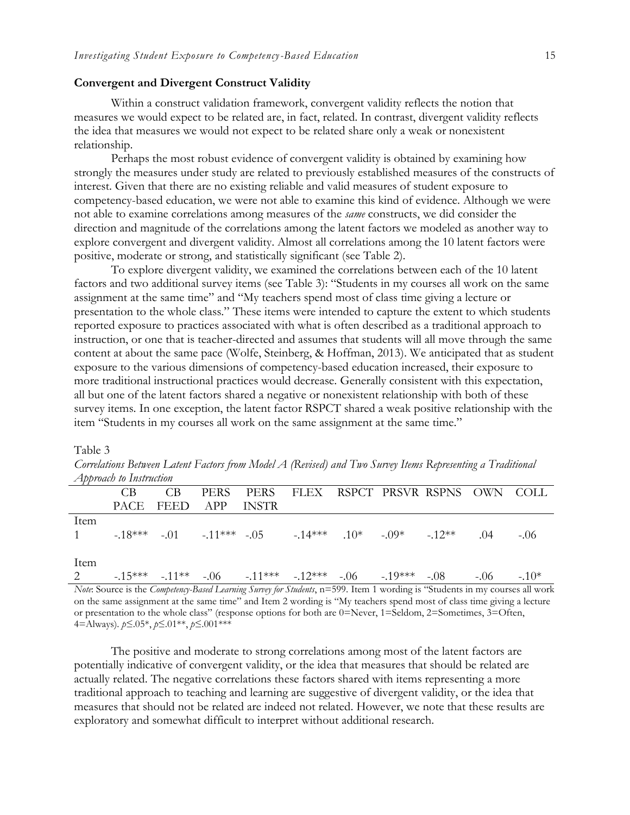## **Convergent and Divergent Construct Validity**

Within a construct validation framework, convergent validity reflects the notion that measures we would expect to be related are, in fact, related. In contrast, divergent validity reflects the idea that measures we would not expect to be related share only a weak or nonexistent relationship.

Perhaps the most robust evidence of convergent validity is obtained by examining how strongly the measures under study are related to previously established measures of the constructs of interest. Given that there are no existing reliable and valid measures of student exposure to competency-based education, we were not able to examine this kind of evidence. Although we were not able to examine correlations among measures of the *same* constructs, we did consider the direction and magnitude of the correlations among the latent factors we modeled as another way to explore convergent and divergent validity. Almost all correlations among the 10 latent factors were positive, moderate or strong, and statistically significant (see Table 2).

To explore divergent validity, we examined the correlations between each of the 10 latent factors and two additional survey items (see Table 3): "Students in my courses all work on the same assignment at the same time" and "My teachers spend most of class time giving a lecture or presentation to the whole class." These items were intended to capture the extent to which students reported exposure to practices associated with what is often described as a traditional approach to instruction, or one that is teacher-directed and assumes that students will all move through the same content at about the same pace (Wolfe, Steinberg, & Hoffman, 2013). We anticipated that as student exposure to the various dimensions of competency-based education increased, their exposure to more traditional instructional practices would decrease. Generally consistent with this expectation, all but one of the latent factors shared a negative or nonexistent relationship with both of these survey items. In one exception, the latent factor RSPCT shared a weak positive relationship with the item "Students in my courses all work on the same assignment at the same time."

#### Table 3

|             | $\sim$ approach to anstruction |                     |                                                                |  |  |       |        |
|-------------|--------------------------------|---------------------|----------------------------------------------------------------|--|--|-------|--------|
|             | CB.                            | CB.                 | PERS PERS FLEX RSPCT PRSVR RSPNS OWN COLL                      |  |  |       |        |
|             |                                | PACE FEED APP INSTR |                                                                |  |  |       |        |
| <b>Item</b> |                                |                     |                                                                |  |  |       |        |
|             |                                |                     | 1 $-18***$ $-01$ $-11***$ $-05$ $-14***$ $10*$ $-09*$ $-12**$  |  |  | .04   | $-.06$ |
|             |                                |                     |                                                                |  |  |       |        |
| <b>Item</b> |                                |                     |                                                                |  |  |       |        |
| 2           |                                |                     | $-15***$ $-11***$ $-06$ $-11***$ $-12***$ $-06$ $-19***$ $-08$ |  |  | $-06$ | $-10*$ |

*Correlations Between Latent Factors from Model A (Revised) and Two Survey Items Representing a Traditional Approach to Instruction*

*Note*: Source is the *Competency-Based Learning Survey for Students*, n=599. Item 1 wording is "Students in my courses all work on the same assignment at the same time" and Item 2 wording is "My teachers spend most of class time giving a lecture or presentation to the whole class" (response options for both are 0=Never, 1=Seldom, 2=Sometimes, 3=Often, 4=Always). *p*≤.05\*, *p*≤.01\*\*, *p*≤.001\*\*\*

The positive and moderate to strong correlations among most of the latent factors are potentially indicative of convergent validity, or the idea that measures that should be related are actually related. The negative correlations these factors shared with items representing a more traditional approach to teaching and learning are suggestive of divergent validity, or the idea that measures that should not be related are indeed not related. However, we note that these results are exploratory and somewhat difficult to interpret without additional research.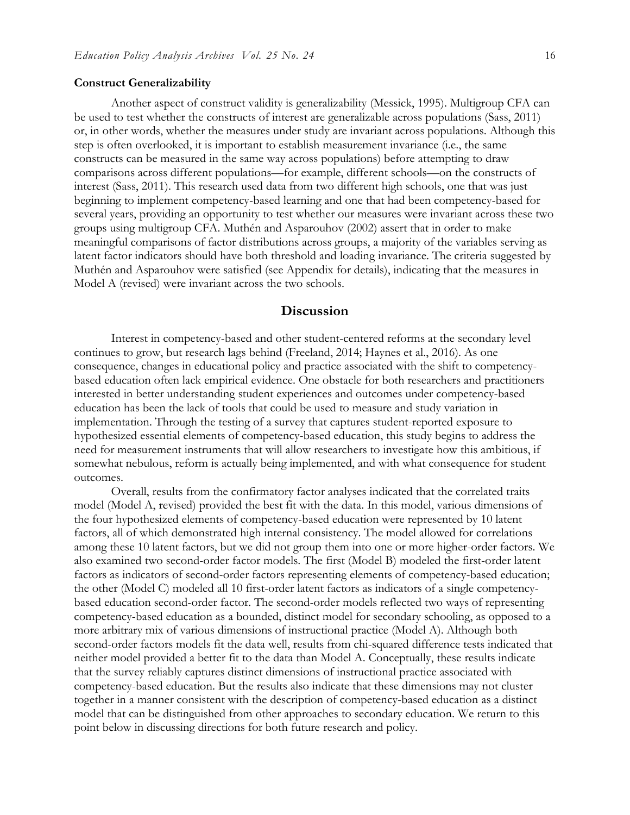#### **Construct Generalizability**

Another aspect of construct validity is generalizability (Messick, 1995). Multigroup CFA can be used to test whether the constructs of interest are generalizable across populations (Sass, 2011) or, in other words, whether the measures under study are invariant across populations. Although this step is often overlooked, it is important to establish measurement invariance (i.e., the same constructs can be measured in the same way across populations) before attempting to draw comparisons across different populations—for example, different schools—on the constructs of interest (Sass, 2011). This research used data from two different high schools, one that was just beginning to implement competency-based learning and one that had been competency-based for several years, providing an opportunity to test whether our measures were invariant across these two groups using multigroup CFA. Muthén and Asparouhov (2002) assert that in order to make meaningful comparisons of factor distributions across groups, a majority of the variables serving as latent factor indicators should have both threshold and loading invariance. The criteria suggested by Muthén and Asparouhov were satisfied (see Appendix for details), indicating that the measures in Model A (revised) were invariant across the two schools.

# **Discussion**

Interest in competency-based and other student-centered reforms at the secondary level continues to grow, but research lags behind (Freeland, 2014; Haynes et al., 2016). As one consequence, changes in educational policy and practice associated with the shift to competencybased education often lack empirical evidence. One obstacle for both researchers and practitioners interested in better understanding student experiences and outcomes under competency-based education has been the lack of tools that could be used to measure and study variation in implementation. Through the testing of a survey that captures student-reported exposure to hypothesized essential elements of competency-based education, this study begins to address the need for measurement instruments that will allow researchers to investigate how this ambitious, if somewhat nebulous, reform is actually being implemented, and with what consequence for student outcomes.

Overall, results from the confirmatory factor analyses indicated that the correlated traits model (Model A, revised) provided the best fit with the data. In this model, various dimensions of the four hypothesized elements of competency-based education were represented by 10 latent factors, all of which demonstrated high internal consistency. The model allowed for correlations among these 10 latent factors, but we did not group them into one or more higher-order factors. We also examined two second-order factor models. The first (Model B) modeled the first-order latent factors as indicators of second-order factors representing elements of competency-based education; the other (Model C) modeled all 10 first-order latent factors as indicators of a single competencybased education second-order factor. The second-order models reflected two ways of representing competency-based education as a bounded, distinct model for secondary schooling, as opposed to a more arbitrary mix of various dimensions of instructional practice (Model A). Although both second-order factors models fit the data well, results from chi-squared difference tests indicated that neither model provided a better fit to the data than Model A. Conceptually, these results indicate that the survey reliably captures distinct dimensions of instructional practice associated with competency-based education. But the results also indicate that these dimensions may not cluster together in a manner consistent with the description of competency-based education as a distinct model that can be distinguished from other approaches to secondary education. We return to this point below in discussing directions for both future research and policy.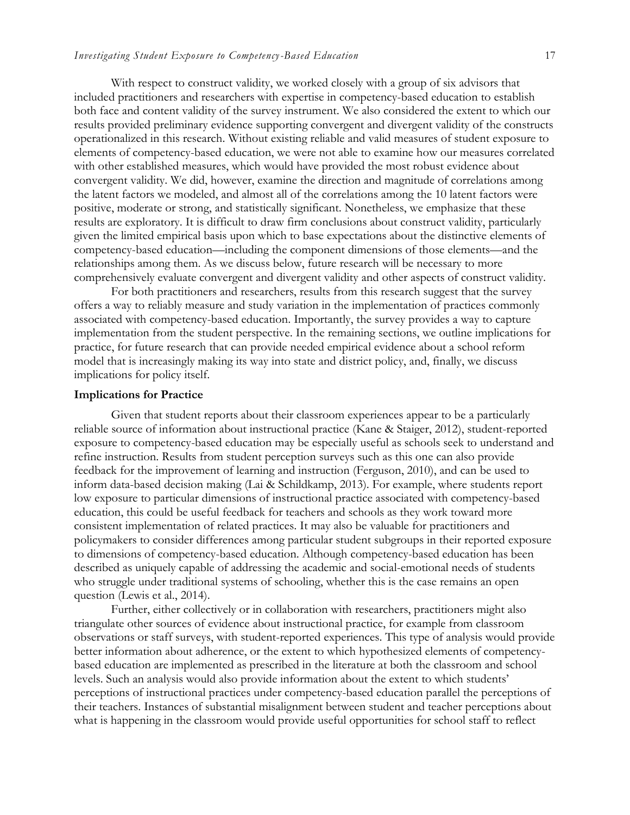With respect to construct validity, we worked closely with a group of six advisors that included practitioners and researchers with expertise in competency-based education to establish both face and content validity of the survey instrument. We also considered the extent to which our results provided preliminary evidence supporting convergent and divergent validity of the constructs operationalized in this research. Without existing reliable and valid measures of student exposure to elements of competency-based education, we were not able to examine how our measures correlated with other established measures, which would have provided the most robust evidence about convergent validity. We did, however, examine the direction and magnitude of correlations among the latent factors we modeled, and almost all of the correlations among the 10 latent factors were positive, moderate or strong, and statistically significant. Nonetheless, we emphasize that these results are exploratory. It is difficult to draw firm conclusions about construct validity, particularly given the limited empirical basis upon which to base expectations about the distinctive elements of competency-based education—including the component dimensions of those elements—and the relationships among them. As we discuss below, future research will be necessary to more comprehensively evaluate convergent and divergent validity and other aspects of construct validity.

For both practitioners and researchers, results from this research suggest that the survey offers a way to reliably measure and study variation in the implementation of practices commonly associated with competency-based education. Importantly, the survey provides a way to capture implementation from the student perspective. In the remaining sections, we outline implications for practice, for future research that can provide needed empirical evidence about a school reform model that is increasingly making its way into state and district policy, and, finally, we discuss implications for policy itself.

#### **Implications for Practice**

Given that student reports about their classroom experiences appear to be a particularly reliable source of information about instructional practice (Kane & Staiger, 2012), student-reported exposure to competency-based education may be especially useful as schools seek to understand and refine instruction. Results from student perception surveys such as this one can also provide feedback for the improvement of learning and instruction (Ferguson, 2010), and can be used to inform data-based decision making (Lai & Schildkamp, 2013). For example, where students report low exposure to particular dimensions of instructional practice associated with competency-based education, this could be useful feedback for teachers and schools as they work toward more consistent implementation of related practices. It may also be valuable for practitioners and policymakers to consider differences among particular student subgroups in their reported exposure to dimensions of competency-based education. Although competency-based education has been described as uniquely capable of addressing the academic and social-emotional needs of students who struggle under traditional systems of schooling, whether this is the case remains an open question (Lewis et al., 2014).

Further, either collectively or in collaboration with researchers, practitioners might also triangulate other sources of evidence about instructional practice, for example from classroom observations or staff surveys, with student-reported experiences. This type of analysis would provide better information about adherence, or the extent to which hypothesized elements of competencybased education are implemented as prescribed in the literature at both the classroom and school levels. Such an analysis would also provide information about the extent to which students' perceptions of instructional practices under competency-based education parallel the perceptions of their teachers. Instances of substantial misalignment between student and teacher perceptions about what is happening in the classroom would provide useful opportunities for school staff to reflect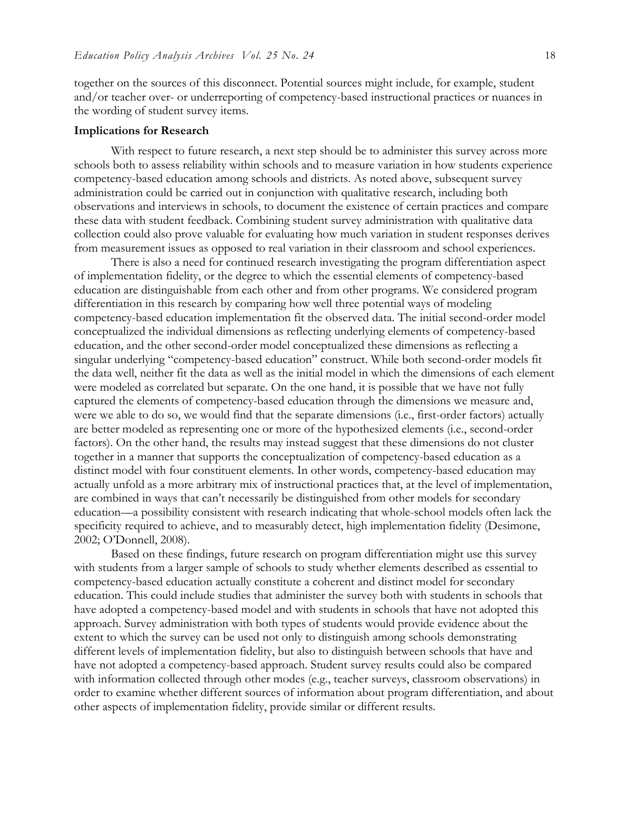together on the sources of this disconnect. Potential sources might include, for example, student and/or teacher over- or underreporting of competency-based instructional practices or nuances in the wording of student survey items.

#### **Implications for Research**

With respect to future research, a next step should be to administer this survey across more schools both to assess reliability within schools and to measure variation in how students experience competency-based education among schools and districts. As noted above, subsequent survey administration could be carried out in conjunction with qualitative research, including both observations and interviews in schools, to document the existence of certain practices and compare these data with student feedback. Combining student survey administration with qualitative data collection could also prove valuable for evaluating how much variation in student responses derives from measurement issues as opposed to real variation in their classroom and school experiences.

There is also a need for continued research investigating the program differentiation aspect of implementation fidelity, or the degree to which the essential elements of competency-based education are distinguishable from each other and from other programs. We considered program differentiation in this research by comparing how well three potential ways of modeling competency-based education implementation fit the observed data. The initial second-order model conceptualized the individual dimensions as reflecting underlying elements of competency-based education, and the other second-order model conceptualized these dimensions as reflecting a singular underlying "competency-based education" construct. While both second-order models fit the data well, neither fit the data as well as the initial model in which the dimensions of each element were modeled as correlated but separate. On the one hand, it is possible that we have not fully captured the elements of competency-based education through the dimensions we measure and, were we able to do so, we would find that the separate dimensions (i.e., first-order factors) actually are better modeled as representing one or more of the hypothesized elements (i.e., second-order factors). On the other hand, the results may instead suggest that these dimensions do not cluster together in a manner that supports the conceptualization of competency-based education as a distinct model with four constituent elements. In other words, competency-based education may actually unfold as a more arbitrary mix of instructional practices that, at the level of implementation, are combined in ways that can't necessarily be distinguished from other models for secondary education—a possibility consistent with research indicating that whole-school models often lack the specificity required to achieve, and to measurably detect, high implementation fidelity (Desimone, 2002; O'Donnell, 2008).

Based on these findings, future research on program differentiation might use this survey with students from a larger sample of schools to study whether elements described as essential to competency-based education actually constitute a coherent and distinct model for secondary education. This could include studies that administer the survey both with students in schools that have adopted a competency-based model and with students in schools that have not adopted this approach. Survey administration with both types of students would provide evidence about the extent to which the survey can be used not only to distinguish among schools demonstrating different levels of implementation fidelity, but also to distinguish between schools that have and have not adopted a competency-based approach. Student survey results could also be compared with information collected through other modes (e.g., teacher surveys, classroom observations) in order to examine whether different sources of information about program differentiation, and about other aspects of implementation fidelity, provide similar or different results.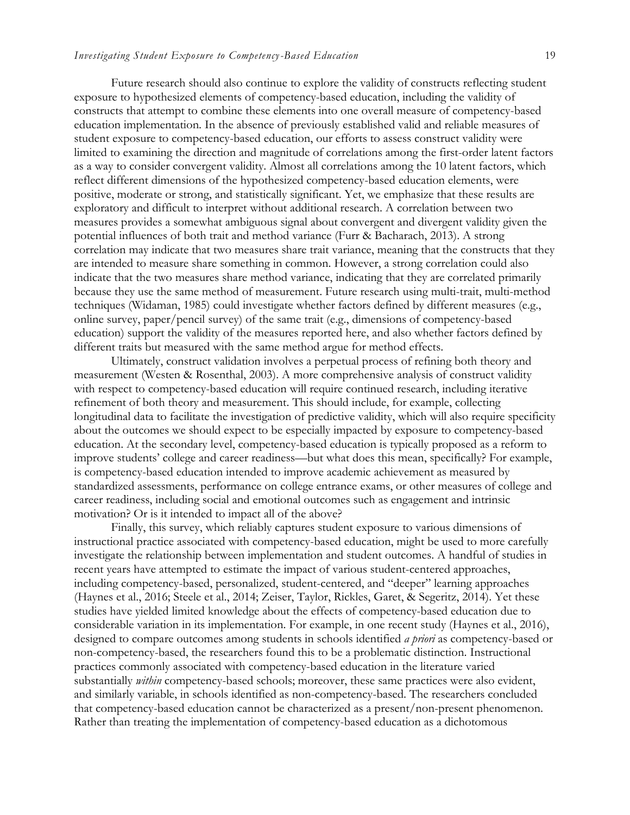Future research should also continue to explore the validity of constructs reflecting student exposure to hypothesized elements of competency-based education, including the validity of constructs that attempt to combine these elements into one overall measure of competency-based education implementation. In the absence of previously established valid and reliable measures of student exposure to competency-based education, our efforts to assess construct validity were limited to examining the direction and magnitude of correlations among the first-order latent factors as a way to consider convergent validity. Almost all correlations among the 10 latent factors, which reflect different dimensions of the hypothesized competency-based education elements, were positive, moderate or strong, and statistically significant. Yet, we emphasize that these results are exploratory and difficult to interpret without additional research. A correlation between two measures provides a somewhat ambiguous signal about convergent and divergent validity given the potential influences of both trait and method variance (Furr & Bacharach, 2013). A strong correlation may indicate that two measures share trait variance, meaning that the constructs that they are intended to measure share something in common. However, a strong correlation could also indicate that the two measures share method variance, indicating that they are correlated primarily because they use the same method of measurement. Future research using multi-trait, multi-method techniques (Widaman, 1985) could investigate whether factors defined by different measures (e.g., online survey, paper/pencil survey) of the same trait (e.g., dimensions of competency-based education) support the validity of the measures reported here, and also whether factors defined by different traits but measured with the same method argue for method effects.

Ultimately, construct validation involves a perpetual process of refining both theory and measurement (Westen & Rosenthal, 2003). A more comprehensive analysis of construct validity with respect to competency-based education will require continued research, including iterative refinement of both theory and measurement. This should include, for example, collecting longitudinal data to facilitate the investigation of predictive validity, which will also require specificity about the outcomes we should expect to be especially impacted by exposure to competency-based education. At the secondary level, competency-based education is typically proposed as a reform to improve students' college and career readiness—but what does this mean, specifically? For example, is competency-based education intended to improve academic achievement as measured by standardized assessments, performance on college entrance exams, or other measures of college and career readiness, including social and emotional outcomes such as engagement and intrinsic motivation? Or is it intended to impact all of the above?

Finally, this survey, which reliably captures student exposure to various dimensions of instructional practice associated with competency-based education, might be used to more carefully investigate the relationship between implementation and student outcomes. A handful of studies in recent years have attempted to estimate the impact of various student-centered approaches, including competency-based, personalized, student-centered, and "deeper" learning approaches (Haynes et al., 2016; Steele et al., 2014; Zeiser, Taylor, Rickles, Garet, & Segeritz, 2014). Yet these studies have yielded limited knowledge about the effects of competency-based education due to considerable variation in its implementation. For example, in one recent study (Haynes et al., 2016), designed to compare outcomes among students in schools identified *a priori* as competency-based or non-competency-based, the researchers found this to be a problematic distinction. Instructional practices commonly associated with competency-based education in the literature varied substantially *within* competency-based schools; moreover, these same practices were also evident, and similarly variable, in schools identified as non-competency-based. The researchers concluded that competency-based education cannot be characterized as a present/non-present phenomenon. Rather than treating the implementation of competency-based education as a dichotomous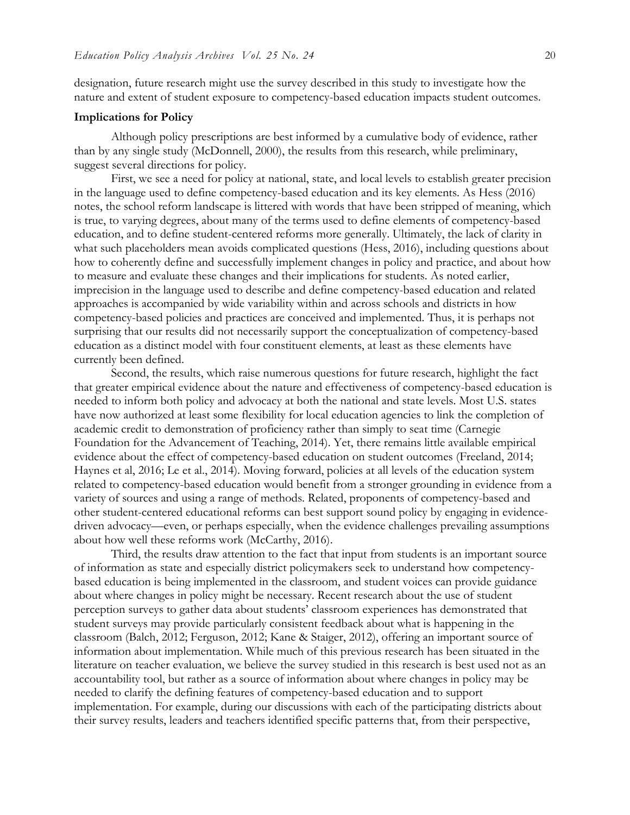designation, future research might use the survey described in this study to investigate how the nature and extent of student exposure to competency-based education impacts student outcomes.

#### **Implications for Policy**

Although policy prescriptions are best informed by a cumulative body of evidence, rather than by any single study (McDonnell, 2000), the results from this research, while preliminary, suggest several directions for policy.

First, we see a need for policy at national, state, and local levels to establish greater precision in the language used to define competency-based education and its key elements. As Hess (2016) notes, the school reform landscape is littered with words that have been stripped of meaning, which is true, to varying degrees, about many of the terms used to define elements of competency-based education, and to define student-centered reforms more generally. Ultimately, the lack of clarity in what such placeholders mean avoids complicated questions (Hess, 2016), including questions about how to coherently define and successfully implement changes in policy and practice, and about how to measure and evaluate these changes and their implications for students. As noted earlier, imprecision in the language used to describe and define competency-based education and related approaches is accompanied by wide variability within and across schools and districts in how competency-based policies and practices are conceived and implemented. Thus, it is perhaps not surprising that our results did not necessarily support the conceptualization of competency-based education as a distinct model with four constituent elements, at least as these elements have currently been defined.

Second, the results, which raise numerous questions for future research, highlight the fact that greater empirical evidence about the nature and effectiveness of competency-based education is needed to inform both policy and advocacy at both the national and state levels. Most U.S. states have now authorized at least some flexibility for local education agencies to link the completion of academic credit to demonstration of proficiency rather than simply to seat time (Carnegie Foundation for the Advancement of Teaching, 2014). Yet, there remains little available empirical evidence about the effect of competency-based education on student outcomes (Freeland, 2014; Haynes et al, 2016; Le et al., 2014). Moving forward, policies at all levels of the education system related to competency-based education would benefit from a stronger grounding in evidence from a variety of sources and using a range of methods. Related, proponents of competency-based and other student-centered educational reforms can best support sound policy by engaging in evidencedriven advocacy—even, or perhaps especially, when the evidence challenges prevailing assumptions about how well these reforms work (McCarthy, 2016).

Third, the results draw attention to the fact that input from students is an important source of information as state and especially district policymakers seek to understand how competencybased education is being implemented in the classroom, and student voices can provide guidance about where changes in policy might be necessary. Recent research about the use of student perception surveys to gather data about students' classroom experiences has demonstrated that student surveys may provide particularly consistent feedback about what is happening in the classroom (Balch, 2012; Ferguson, 2012; Kane & Staiger, 2012), offering an important source of information about implementation. While much of this previous research has been situated in the literature on teacher evaluation, we believe the survey studied in this research is best used not as an accountability tool, but rather as a source of information about where changes in policy may be needed to clarify the defining features of competency-based education and to support implementation. For example, during our discussions with each of the participating districts about their survey results, leaders and teachers identified specific patterns that, from their perspective,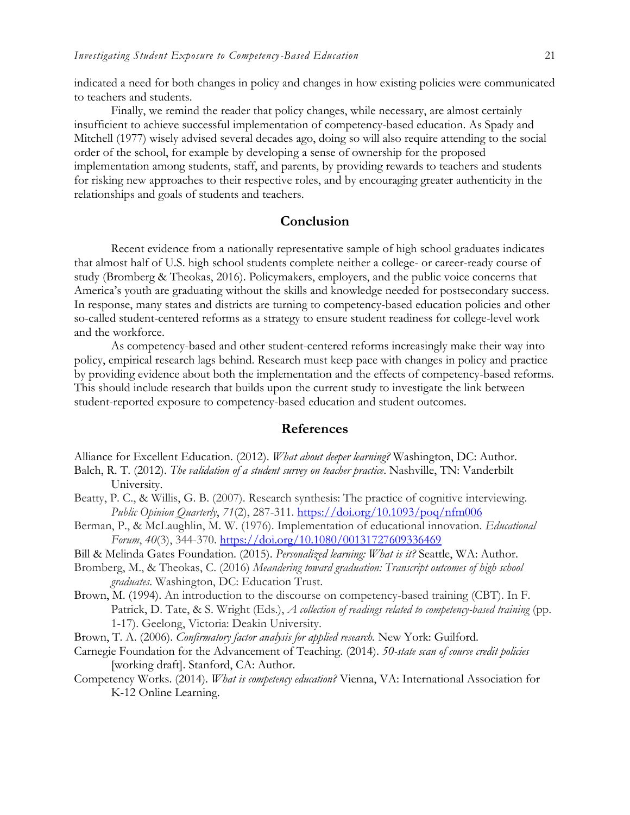indicated a need for both changes in policy and changes in how existing policies were communicated to teachers and students.

Finally, we remind the reader that policy changes, while necessary, are almost certainly insufficient to achieve successful implementation of competency-based education. As Spady and Mitchell (1977) wisely advised several decades ago, doing so will also require attending to the social order of the school, for example by developing a sense of ownership for the proposed implementation among students, staff, and parents, by providing rewards to teachers and students for risking new approaches to their respective roles, and by encouraging greater authenticity in the relationships and goals of students and teachers.

# **Conclusion**

Recent evidence from a nationally representative sample of high school graduates indicates that almost half of U.S. high school students complete neither a college- or career-ready course of study (Bromberg & Theokas, 2016). Policymakers, employers, and the public voice concerns that America's youth are graduating without the skills and knowledge needed for postsecondary success. In response, many states and districts are turning to competency-based education policies and other so-called student-centered reforms as a strategy to ensure student readiness for college-level work and the workforce.

As competency-based and other student-centered reforms increasingly make their way into policy, empirical research lags behind. Research must keep pace with changes in policy and practice by providing evidence about both the implementation and the effects of competency-based reforms. This should include research that builds upon the current study to investigate the link between student-reported exposure to competency-based education and student outcomes.

# **References**

Alliance for Excellent Education. (2012). *What about deeper learning?* Washington, DC: Author.

- Balch, R. T. (2012). *The validation of a student survey on teacher practice*. Nashville, TN: Vanderbilt University.
- Beatty, P. C., & Willis, G. B. (2007). Research synthesis: The practice of cognitive interviewing. *Public Opinion Quarterly*, *71*(2), 287-311.<https://doi.org/10.1093/poq/nfm006>
- Berman, P., & McLaughlin, M. W. (1976). Implementation of educational innovation. *Educational Forum*, *40*(3), 344-370.<https://doi.org/10.1080/00131727609336469>
- Bill & Melinda Gates Foundation. (2015). *Personalized learning: What is it?* Seattle, WA: Author.
- Bromberg, M., & Theokas, C. (2016) *Meandering toward graduation: Transcript outcomes of high school graduates*. Washington, DC: Education Trust.
- Brown, M. (1994). An introduction to the discourse on competency-based training (CBT). In F. Patrick, D. Tate, & S. Wright (Eds.), *A collection of readings related to competency-based training* (pp. 1-17). Geelong, Victoria: Deakin University.
- Brown, T. A. (2006). *Confirmatory factor analysis for applied research.* New York: Guilford.
- Carnegie Foundation for the Advancement of Teaching. (2014). *50-state scan of course credit policies* [working draft]. Stanford, CA: Author.
- Competency Works. (2014). *What is competency education?* Vienna, VA: International Association for K-12 Online Learning.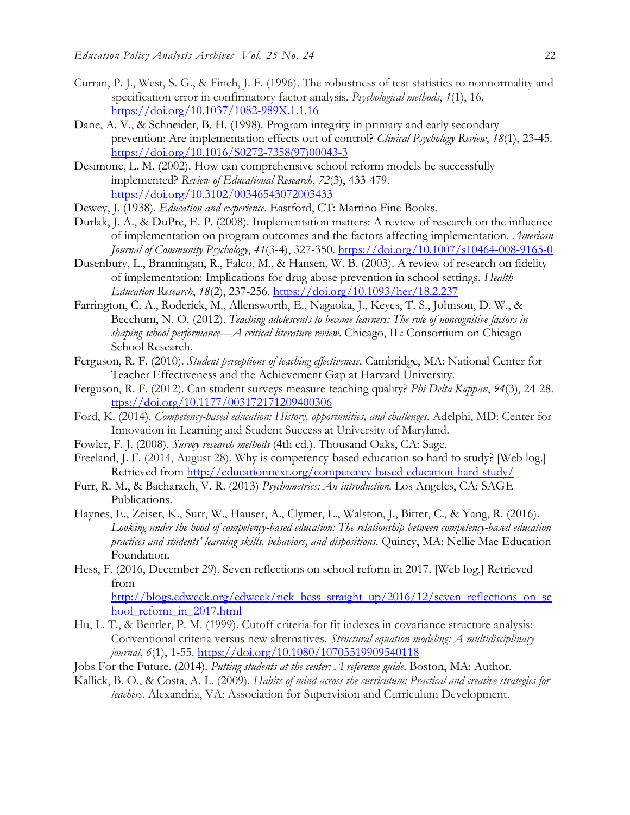- Curran, P. J., West, S. G., & Finch, J. F. (1996). The robustness of test statistics to nonnormality and specification error in confirmatory factor analysis. *Psychological methods*, *1*(1), 16. <https://doi.org/10.1037/1082-989X.1.1.16>
- Dane, A. V., & Schneider, B. H. (1998). Program integrity in primary and early secondary prevention: Are implementation effects out of control? *Clinical Psychology Review*, *18*(1), 23-45. [https://doi.org/10.1016/S0272-7358\(97\)00043-3](https://doi.org/10.1016/S0272-7358(97)00043-3)
- Desimone, L. M. (2002). How can comprehensive school reform models be successfully implemented? *Review of Educational Research*, *72*(3), 433-479. <https://doi.org/10.3102/00346543072003433>
- Dewey, J. (1938). *Education and experience*. Eastford, CT: Martino Fine Books.
- Durlak, J. A., & DuPre, E. P. (2008). Implementation matters: A review of research on the influence of implementation on program outcomes and the factors affecting implementation. *American Journal of Community Psychology*, *41*(3-4), 327-350.<https://doi.org/10.1007/s10464-008-9165-0>
- Dusenbury, L., Branningan, R., Falco, M., & Hansen, W. B. (2003). A review of research on fidelity of implementation: Implications for drug abuse prevention in school settings. *Health Education Research*, *18*(2), 237-256.<https://doi.org/10.1093/her/18.2.237>
- Farrington, C. A., Roderick, M., Allensworth, E., Nagaoka, J., Keyes, T. S., Johnson, D. W., & Beechum, N. O. (2012). *Teaching adolescents to become learners: The role of noncognitive factors in shaping school performance—A critical literature review*. Chicago, IL: Consortium on Chicago School Research.
- Ferguson, R. F. (2010). *Student perceptions of teaching effectiveness*. Cambridge, MA: National Center for Teacher Effectiveness and the Achievement Gap at Harvard University.
- Ferguson, R. F. (2012). Can student surveys measure teaching quality? *Phi Delta Kappan*, *94*(3), 24-28. [ttps://doi.org/10.1177/003172171209400306](https://doi.org/10.1177/003172171209400306)
- Ford, K. (2014). *Competency-based education: History, opportunities, and challenges*. Adelphi, MD: Center for Innovation in Learning and Student Success at University of Maryland.
- Fowler, F. J. (2008). *Survey research methods* (4th ed.). Thousand Oaks, CA: Sage.
- Freeland, J. F. (2014, August 28). Why is competency-based education so hard to study? [Web log.] Retrieved from<http://educationnext.org/competency-based-education-hard-study/>
- Furr, R. M., & Bacharach, V. R. (2013) *Psychometrics: An introduction.* Los Angeles, CA: SAGE Publications.
- Haynes, E., Zeiser, K., Surr, W., Hauser, A., Clymer, L., Walston, J., Bitter, C., & Yang, R. (2016). *Looking under the hood of competency-based education: The relationship between competency-based education practices and students' learning skills, behaviors, and dispositions*. Quincy, MA: Nellie Mae Education Foundation.
- Hess, F. (2016, December 29). Seven reflections on school reform in 2017. [Web log.] Retrieved from

[http://blogs.edweek.org/edweek/rick\\_hess\\_straight\\_up/2016/12/seven\\_reflections\\_on\\_sc](http://blogs.edweek.org/edweek/rick_hess_straight_up/2016/12/seven_reflections_on_school_reform_in_2017.html) hool reform in 2017.html

- Hu, L. T., & Bentler, P. M. (1999). Cutoff criteria for fit indexes in covariance structure analysis: Conventional criteria versus new alternatives. *Structural equation modeling: A multidisciplinary journal*, *6*(1), 1-55.<https://doi.org/10.1080/10705519909540118>
- Jobs For the Future. (2014). *Putting students at the center: A reference guide*. Boston, MA: Author.
- Kallick, B. O., & Costa, A. L. (2009). *Habits of mind across the curriculum: Practical and creative strategies for teachers*. Alexandria, VA: Association for Supervision and Curriculum Development.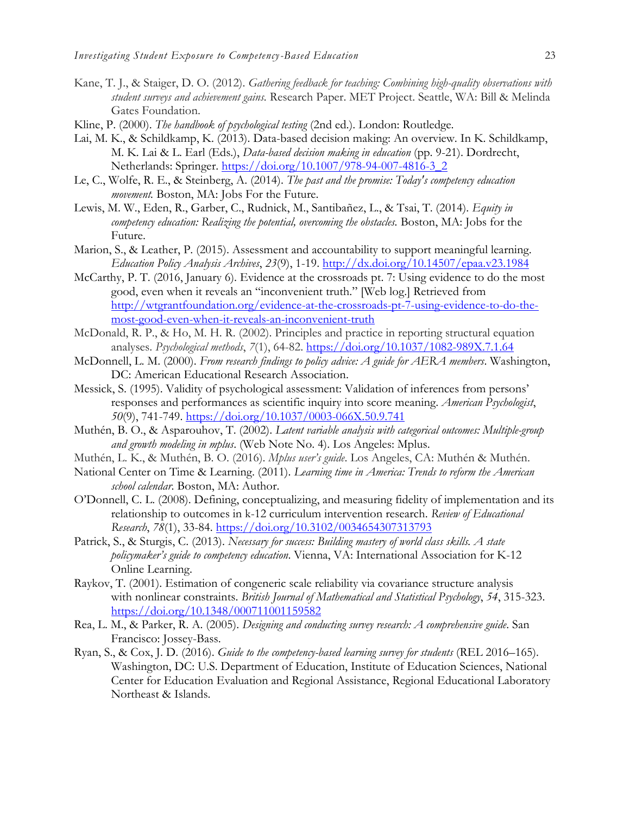- Kane, T. J., & Staiger, D. O. (2012). *Gathering feedback for teaching: Combining high-quality observations with student surveys and achievement gains.* Research Paper. MET Project. Seattle, WA: Bill & Melinda Gates Foundation.
- Kline, P. (2000). *The handbook of psychological testing* (2nd ed.). London: Routledge.
- Lai, M. K., & Schildkamp, K. (2013). Data-based decision making: An overview. In K. Schildkamp, M. K. Lai & L. Earl (Eds.), *Data-based decision making in education* (pp. 9-21). Dordrecht, Netherlands: Springer. [https://doi.org/10.1007/978-94-007-4816-3\\_2](https://doi.org/10.1007/978-94-007-4816-3_2)
- Le, C., Wolfe, R. E., & Steinberg, A. (2014). *The past and the promise: Today's competency education movement.* Boston, MA: Jobs For the Future.
- Lewis, M. W., Eden, R., Garber, C., Rudnick, M., Santibañez, L., & Tsai, T. (2014). *Equity in competency education: Realizing the potential, overcoming the obstacles.* Boston, MA: Jobs for the Future.
- Marion, S., & Leather, P. (2015). Assessment and accountability to support meaningful learning. *Education Policy Analysis Archives*, *23*(9), 1-19. <http://dx.doi.org/10.14507/epaa.v23.1984>
- McCarthy, P. T. (2016, January 6). Evidence at the crossroads pt. 7: Using evidence to do the most good, even when it reveals an "inconvenient truth." [Web log.] Retrieved from [http://wtgrantfoundation.org/evidence-at-the-crossroads-pt-7-using-evidence-to-do-the](http://wtgrantfoundation.org/evidence-at-the-crossroads-pt-7-using-evidence-to-do-the-most-good-even-when-it-reveals-an-inconvenient-truth)[most-good-even-when-it-reveals-an-inconvenient-truth](http://wtgrantfoundation.org/evidence-at-the-crossroads-pt-7-using-evidence-to-do-the-most-good-even-when-it-reveals-an-inconvenient-truth)
- McDonald, R. P., & Ho, M. H. R. (2002). Principles and practice in reporting structural equation analyses. *Psychological methods*, *7*(1), 64-82.<https://doi.org/10.1037/1082-989X.7.1.64>
- McDonnell, L. M. (2000). *From research findings to policy advice: A guide for AERA members*. Washington, DC: American Educational Research Association.
- Messick, S. (1995). Validity of psychological assessment: Validation of inferences from persons' responses and performances as scientific inquiry into score meaning. *American Psychologist*, *50*(9), 741-749.<https://doi.org/10.1037/0003-066X.50.9.741>
- Muthén, B. O., & Asparouhov, T. (2002). *Latent variable analysis with categorical outcomes: Multiple-group and growth modeling in mplus*. (Web Note No. 4). Los Angeles: Mplus.
- Muthén, L. K., & Muthén, B. O. (2016). *Mplus user's guide*. Los Angeles, CA: Muthén & Muthén.
- National Center on Time & Learning. (2011). *Learning time in America: Trends to reform the American school calendar*. Boston, MA: Author.
- O'Donnell, C. L. (2008). Defining, conceptualizing, and measuring fidelity of implementation and its relationship to outcomes in k-12 curriculum intervention research. *Review of Educational Research*, *78*(1), 33-84.<https://doi.org/10.3102/0034654307313793>
- Patrick, S., & Sturgis, C. (2013). *Necessary for success: Building mastery of world class skills. A state policymaker's guide to competency education*. Vienna, VA: International Association for K-12 Online Learning.
- Raykov, T. (2001). Estimation of congeneric scale reliability via covariance structure analysis with nonlinear constraints. *British Journal of Mathematical and Statistical Psychology*, *54*, 315-323. <https://doi.org/10.1348/000711001159582>
- Rea, L. M., & Parker, R. A. (2005). *Designing and conducting survey research: A comprehensive guide*. San Francisco: Jossey-Bass.
- Ryan, S., & Cox, J. D. (2016). *Guide to the competency-based learning survey for students* (REL 2016–165). Washington, DC: U.S. Department of Education, Institute of Education Sciences, National Center for Education Evaluation and Regional Assistance, Regional Educational Laboratory Northeast & Islands.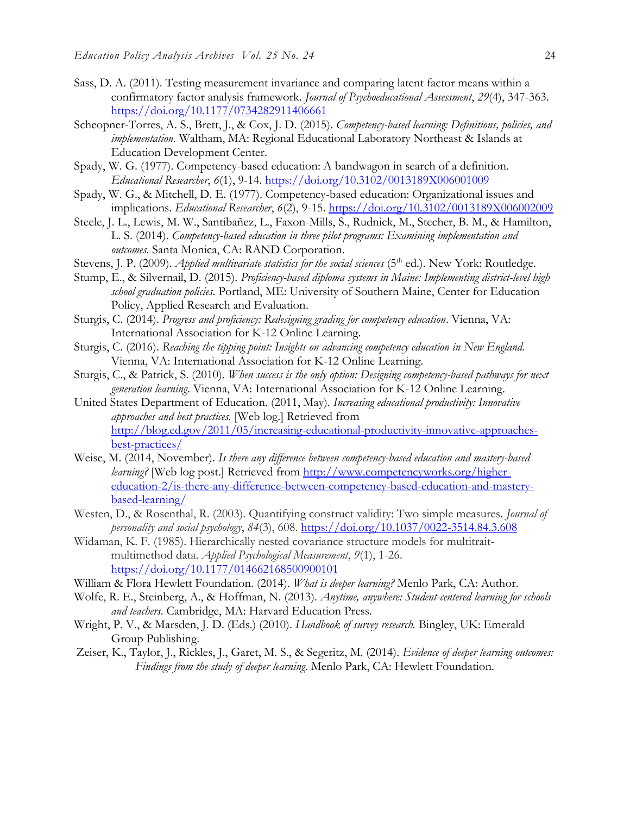- Sass, D. A. (2011). Testing measurement invariance and comparing latent factor means within a confirmatory factor analysis framework. *Journal of Psychoeducational Assessment*, *29*(4), 347-363. <https://doi.org/10.1177/0734282911406661>
- Scheopner-Torres, A. S., Brett, J., & Cox, J. D. (2015). *Competency-based learning: Definitions, policies, and implementation.* Waltham, MA: Regional Educational Laboratory Northeast & Islands at Education Development Center.
- Spady, W. G. (1977). Competency-based education: A bandwagon in search of a definition. *Educational Researcher*, *6*(1), 9-14.<https://doi.org/10.3102/0013189X006001009>
- Spady, W. G., & Mitchell, D. E. (1977). Competency-based education: Organizational issues and implications. *Educational Researcher*, *6*(2), 9-15.<https://doi.org/10.3102/0013189X006002009>
- Steele, J. L., Lewis, M. W., Santibañez, L., Faxon-Mills, S., Rudnick, M., Stecher, B. M., & Hamilton, L. S. (2014). *Competency-based education in three pilot programs: Examining implementation and outcomes*. Santa Monica, CA: RAND Corporation.
- Stevens, J. P. (2009). *Applied multivariate statistics for the social sciences* (5<sup>th</sup> ed.). New York: Routledge.
- Stump, E., & Silvernail, D. (2015). *Proficiency-based diploma systems in Maine: Implementing district-level high school graduation policies*. Portland, ME: University of Southern Maine, Center for Education Policy, Applied Research and Evaluation.
- Sturgis, C. (2014). *Progress and proficiency: Redesigning grading for competency education*. Vienna, VA: International Association for K-12 Online Learning.
- Sturgis, C. (2016). *Reaching the tipping point: Insights on advancing competency education in New England.*  Vienna, VA: International Association for K-12 Online Learning.
- Sturgis, C., & Patrick, S. (2010). *When success is the only option: Designing competency-based pathways for next generation learning*. Vienna, VA: International Association for K-12 Online Learning.
- United States Department of Education. (2011, May). *Increasing educational productivity: Innovative approaches and best practices.* [Web log.] Retrieved from [http://blog.ed.gov/2011/05/increasing-educational-productivity-innovative-approaches](http://blog.ed.gov/2011/05/increasing-educational-productivity-innovative-approaches-best-practices/)[best-practices/](http://blog.ed.gov/2011/05/increasing-educational-productivity-innovative-approaches-best-practices/)
- Weise, M. (2014, November). *Is there any difference between competency-based education and mastery-based learning?* [Web log post.] Retrieved from [http://www.competencyworks.org/higher](http://www.competencyworks.org/higher-education-2/is-there-any-difference-between-competency-based-education-and-mastery-based-learning/)[education-2/is-there-any-difference-between-competency-based-education-and-mastery](http://www.competencyworks.org/higher-education-2/is-there-any-difference-between-competency-based-education-and-mastery-based-learning/)[based-learning/](http://www.competencyworks.org/higher-education-2/is-there-any-difference-between-competency-based-education-and-mastery-based-learning/)
- Westen, D., & Rosenthal, R. (2003). Quantifying construct validity: Two simple measures. *Journal of personality and social psychology*, *84*(3), 608.<https://doi.org/10.1037/0022-3514.84.3.608>
- Widaman, K. F. (1985). Hierarchically nested covariance structure models for multitraitmultimethod data. *Applied Psychological Measurement*, *9*(1), 1-26. <https://doi.org/10.1177/014662168500900101>
- William & Flora Hewlett Foundation. (2014). *What is deeper learning?* Menlo Park, CA: Author.
- Wolfe, R. E., Steinberg, A., & Hoffman, N. (2013). *Anytime, anywhere: Student-centered learning for schools and teachers*. Cambridge, MA: Harvard Education Press.
- Wright, P. V., & Marsden, J. D. (Eds.) (2010). *Handbook of survey research.* Bingley, UK: Emerald Group Publishing.
- Zeiser, K., Taylor, J., Rickles, J., Garet, M. S., & Segeritz, M. (2014). *Evidence of deeper learning outcomes: Findings from the study of deeper learning*. Menlo Park, CA: Hewlett Foundation.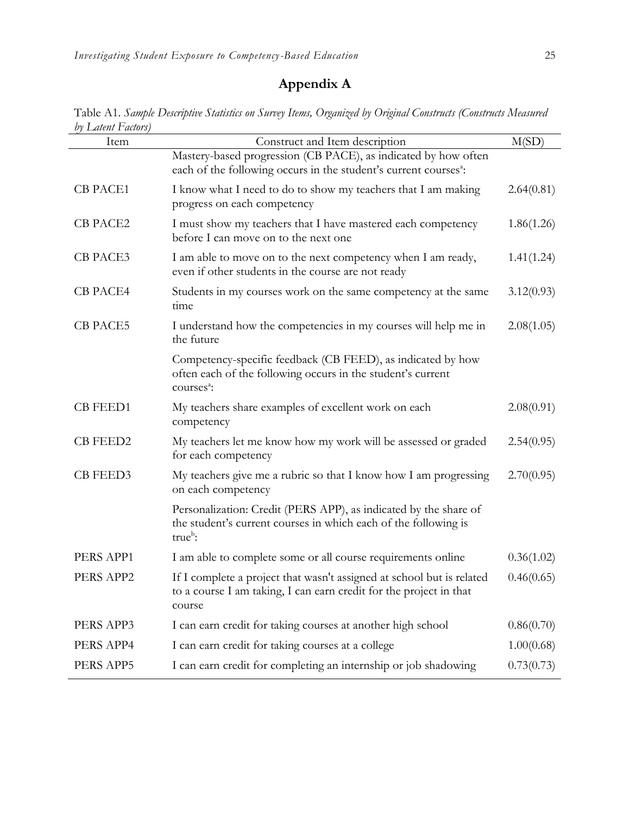# **Appendix A**

Table A1. *Sample Descriptive Statistics on Survey Items, Organized by Original Constructs (Constructs Measured by Latent Factors)*

| of Laithi I aliois)<br>Item | Construct and Item description                                                                                                                        | M(SD)      |
|-----------------------------|-------------------------------------------------------------------------------------------------------------------------------------------------------|------------|
|                             | Mastery-based progression (CB PACE), as indicated by how often<br>each of the following occurs in the student's current courses <sup>3</sup> :        |            |
| <b>CB PACE1</b>             | I know what I need to do to show my teachers that I am making<br>progress on each competency                                                          | 2.64(0.81) |
| CB PACE2                    | I must show my teachers that I have mastered each competency<br>before I can move on to the next one                                                  | 1.86(1.26) |
| <b>CB PACE3</b>             | I am able to move on to the next competency when I am ready,<br>even if other students in the course are not ready                                    | 1.41(1.24) |
| <b>CB PACE4</b>             | Students in my courses work on the same competency at the same<br>time                                                                                | 3.12(0.93) |
| <b>CB PACE5</b>             | I understand how the competencies in my courses will help me in<br>the future                                                                         | 2.08(1.05) |
|                             | Competency-specific feedback (CB FEED), as indicated by how<br>often each of the following occurs in the student's current<br>courses <sup>a</sup> :  |            |
| <b>CB FEED1</b>             | My teachers share examples of excellent work on each<br>competency                                                                                    | 2.08(0.91) |
| <b>CB FEED2</b>             | My teachers let me know how my work will be assessed or graded<br>for each competency                                                                 | 2.54(0.95) |
| <b>CB FEED3</b>             | My teachers give me a rubric so that I know how I am progressing<br>on each competency                                                                | 2.70(0.95) |
|                             | Personalization: Credit (PERS APP), as indicated by the share of<br>the student's current courses in which each of the following is<br>$trueb$ :      |            |
| PERS APP1                   | I am able to complete some or all course requirements online                                                                                          | 0.36(1.02) |
| PERS APP2                   | If I complete a project that wasn't assigned at school but is related<br>to a course I am taking, I can earn credit for the project in that<br>course | 0.46(0.65) |
| PERS APP3                   | I can earn credit for taking courses at another high school                                                                                           | 0.86(0.70) |
| PERS APP4                   | I can earn credit for taking courses at a college                                                                                                     | 1.00(0.68) |
| PERS APP5                   | I can earn credit for completing an internship or job shadowing                                                                                       | 0.73(0.73) |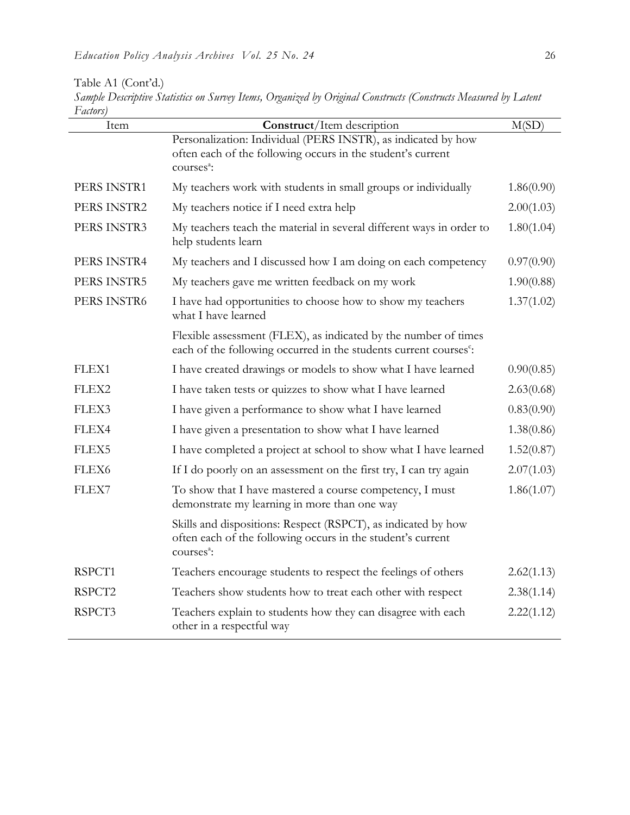| Table A1 (Cont'd.)                                                                                             |
|----------------------------------------------------------------------------------------------------------------|
| Sample Descriptive Statistics on Survey Items, Organized by Original Constructs (Constructs Measured by Latent |
| Factors)                                                                                                       |

| Item        | Construct/Item description                                                                                                                             | M(SD)      |
|-------------|--------------------------------------------------------------------------------------------------------------------------------------------------------|------------|
|             | Personalization: Individual (PERS INSTR), as indicated by how<br>often each of the following occurs in the student's current<br>courses <sup>a</sup> : |            |
| PERS INSTR1 | My teachers work with students in small groups or individually                                                                                         | 1.86(0.90) |
| PERS INSTR2 | My teachers notice if I need extra help                                                                                                                | 2.00(1.03) |
| PERS INSTR3 | My teachers teach the material in several different ways in order to<br>help students learn                                                            | 1.80(1.04) |
| PERS INSTR4 | My teachers and I discussed how I am doing on each competency                                                                                          | 0.97(0.90) |
| PERS INSTR5 | My teachers gave me written feedback on my work                                                                                                        | 1.90(0.88) |
| PERS INSTR6 | I have had opportunities to choose how to show my teachers<br>what I have learned                                                                      | 1.37(1.02) |
|             | Flexible assessment (FLEX), as indicated by the number of times<br>each of the following occurred in the students current courses <sup>c</sup> :       |            |
| FLEX1       | I have created drawings or models to show what I have learned                                                                                          | 0.90(0.85) |
| FLEX2       | I have taken tests or quizzes to show what I have learned                                                                                              | 2.63(0.68) |
| FLEX3       | I have given a performance to show what I have learned                                                                                                 | 0.83(0.90) |
| FLEX4       | I have given a presentation to show what I have learned                                                                                                | 1.38(0.86) |
| FLEX5       | I have completed a project at school to show what I have learned                                                                                       | 1.52(0.87) |
| FLEX6       | If I do poorly on an assessment on the first try, I can try again                                                                                      | 2.07(1.03) |
| FLEX7       | To show that I have mastered a course competency, I must<br>demonstrate my learning in more than one way                                               | 1.86(1.07) |
|             | Skills and dispositions: Respect (RSPCT), as indicated by how<br>often each of the following occurs in the student's current<br>courses <sup>a</sup> : |            |
| RSPCT1      | Teachers encourage students to respect the feelings of others                                                                                          | 2.62(1.13) |
| RSPCT2      | Teachers show students how to treat each other with respect                                                                                            | 2.38(1.14) |
| RSPCT3      | Teachers explain to students how they can disagree with each<br>other in a respectful way                                                              | 2.22(1.12) |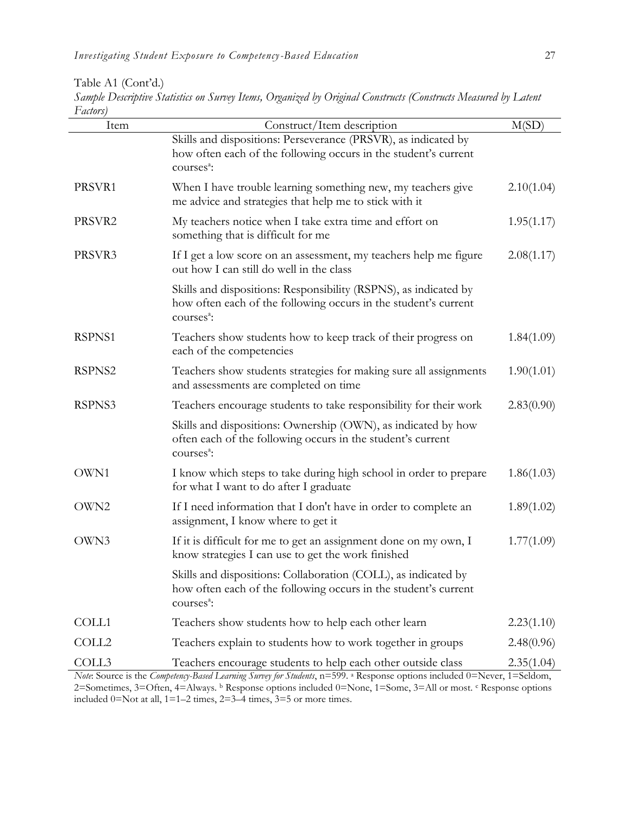Table A1 (Cont'd.)

|          |  |  |  |  | Sample Descriptive Statistics on Survey Items, Organized by Original Constructs (Constructs Measured by Latent |  |
|----------|--|--|--|--|----------------------------------------------------------------------------------------------------------------|--|
| Factors) |  |  |  |  |                                                                                                                |  |

| $\mu$ accord<br>Item | Construct/Item description                                                                                                                                    | M(SD)      |
|----------------------|---------------------------------------------------------------------------------------------------------------------------------------------------------------|------------|
|                      | Skills and dispositions: Perseverance (PRSVR), as indicated by<br>how often each of the following occurs in the student's current<br>courses <sup>a</sup> :   |            |
| PRSVR1               | When I have trouble learning something new, my teachers give<br>me advice and strategies that help me to stick with it                                        | 2.10(1.04) |
| PRSVR2               | My teachers notice when I take extra time and effort on<br>something that is difficult for me                                                                 | 1.95(1.17) |
| PRSVR3               | If I get a low score on an assessment, my teachers help me figure<br>out how I can still do well in the class                                                 | 2.08(1.17) |
|                      | Skills and dispositions: Responsibility (RSPNS), as indicated by<br>how often each of the following occurs in the student's current<br>courses <sup>a</sup> : |            |
| RSPNS1               | Teachers show students how to keep track of their progress on<br>each of the competencies                                                                     | 1.84(1.09) |
| RSPNS2               | Teachers show students strategies for making sure all assignments<br>and assessments are completed on time                                                    | 1.90(1.01) |
| RSPNS3               | Teachers encourage students to take responsibility for their work                                                                                             | 2.83(0.90) |
|                      | Skills and dispositions: Ownership (OWN), as indicated by how<br>often each of the following occurs in the student's current<br>courses <sup>a</sup> :        |            |
| OWN1                 | I know which steps to take during high school in order to prepare<br>for what I want to do after I graduate                                                   | 1.86(1.03) |
| OWN2                 | If I need information that I don't have in order to complete an<br>assignment, I know where to get it                                                         | 1.89(1.02) |
| OWN3                 | If it is difficult for me to get an assignment done on my own, I<br>know strategies I can use to get the work finished                                        | 1.77(1.09) |
|                      | Skills and dispositions: Collaboration (COLL), as indicated by<br>how often each of the following occurs in the student's current<br>courses <sup>a</sup> :   |            |
| COLL1                | Teachers show students how to help each other learn                                                                                                           | 2.23(1.10) |
| COLL <sub>2</sub>    | Teachers explain to students how to work together in groups                                                                                                   | 2.48(0.96) |
| COLL3                | Teachers encourage students to help each other outside class                                                                                                  | 2.35(1.04) |
|                      | Note: Source is the Competency-Based Learning Survey for Students, n=599. a Response options included 0=Never, 1=Seldom,                                      |            |

2=Sometimes, 3=Often, 4=Always. **b** Response options included 0=None, 1=Some, 3=All or most. c Response options included 0=Not at all, 1=1–2 times, 2=3–4 times, 3=5 or more times.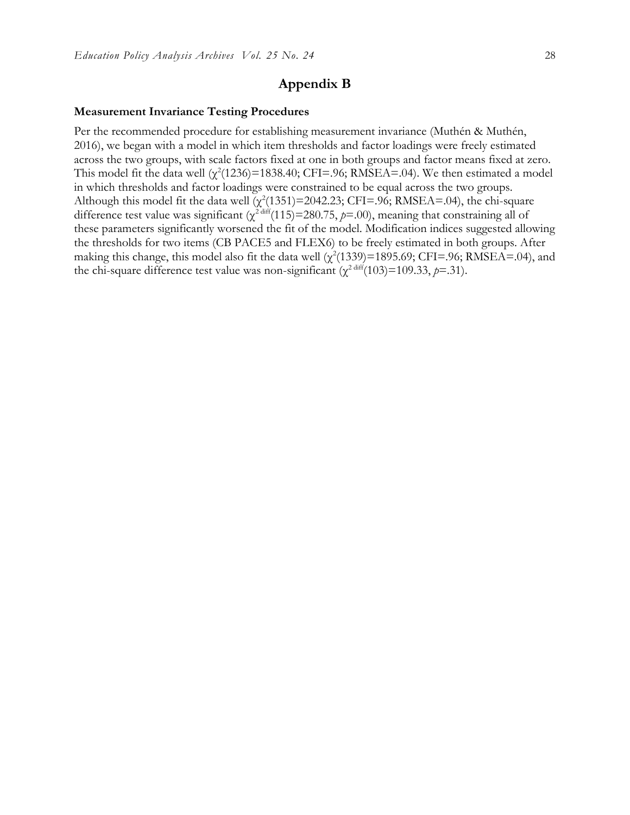# **Appendix B**

#### **Measurement Invariance Testing Procedures**

Per the recommended procedure for establishing measurement invariance (Muthén & Muthén, 2016), we began with a model in which item thresholds and factor loadings were freely estimated across the two groups, with scale factors fixed at one in both groups and factor means fixed at zero. This model fit the data well  $(\chi^2(1236)=1838.40)$ ; CFI=.96; RMSEA=.04). We then estimated a model in which thresholds and factor loadings were constrained to be equal across the two groups. Although this model fit the data well  $(\chi^2(1351)=2042.23;$  CFI=.96; RMSEA=.04), the chi-square difference test value was significant  $(\chi^2^{\text{diff}}(115)=280.75, p=0.0)$ , meaning that constraining all of these parameters significantly worsened the fit of the model. Modification indices suggested allowing the thresholds for two items (CB PACE5 and FLEX6) to be freely estimated in both groups. After making this change, this model also fit the data well  $(\chi^2(1339)=1895.69; CFI=.96; RMSEA=.04)$ , and the chi-square difference test value was non-significant  $(\chi^2)^{\text{diff}}(103)=109.33, p=.31$ .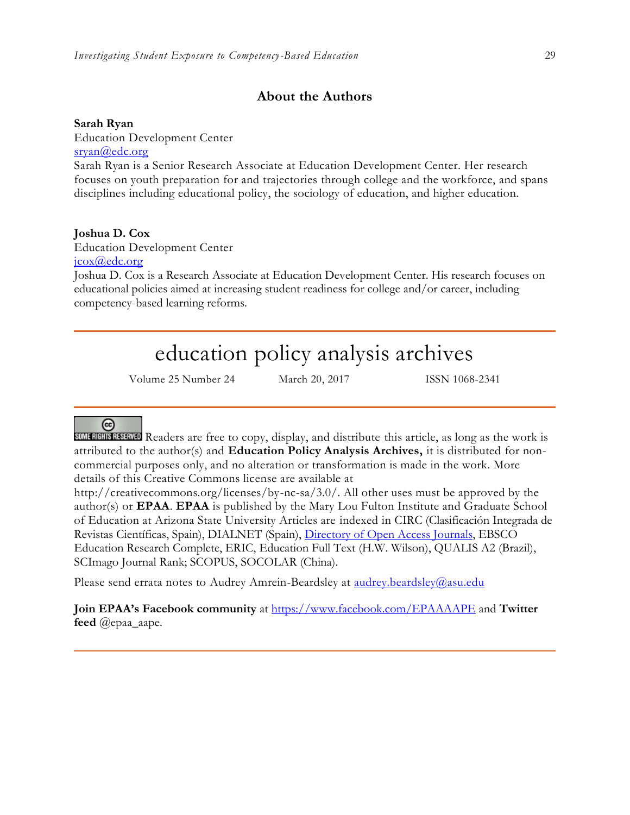# **About the Authors**

### **Sarah Ryan**

Education Development Center [sryan@edc.org](mailto:sryan@edc.org) Sarah Ryan is a Senior Research Associate at Education Development Center. Her research focuses on youth preparation for and trajectories through college and the workforce, and spans disciplines including educational policy, the sociology of education, and higher education.

### **Joshua D. Cox**

Education Development Center [jcox@edc.org](mailto:jcox@edc.org)

Joshua D. Cox is a Research Associate at Education Development Center. His research focuses on educational policies aimed at increasing student readiness for college and/or career, including competency-based learning reforms.

# education policy analysis archives

Volume 25 Number 24 March 20, 2017 ISSN 1068-2341

# @

SOME RIGHTS RESERVED Readers are free to copy, display, and distribute this article, as long as the work is attributed to the author(s) and **Education Policy Analysis Archives,** it is distributed for noncommercial purposes only, and no alteration or transformation is made in the work. More details of this Creative Commons license are available at

http://creativecommons.org/licenses/by-nc-sa/3.0/. All other uses must be approved by the author(s) or **EPAA**. **EPAA** is published by the Mary Lou Fulton Institute and Graduate School of Education at Arizona State University Articles are indexed in CIRC (Clasificación Integrada de Revistas Científicas, Spain), DIALNET (Spain), [Directory of Open Access Journals,](http://www.doaj.org/) EBSCO Education Research Complete, ERIC, Education Full Text (H.W. Wilson), QUALIS A2 (Brazil), SCImago Journal Rank; SCOPUS, SOCOLAR (China).

Please send errata notes to Audrey Amrein-Beardsley at [audrey.beardsley@asu.edu](mailto:audrey.beardsley@asu.edu)

**Join EPAA's Facebook community** at<https://www.facebook.com/EPAAAAPE> and **Twitter feed** @epaa\_aape.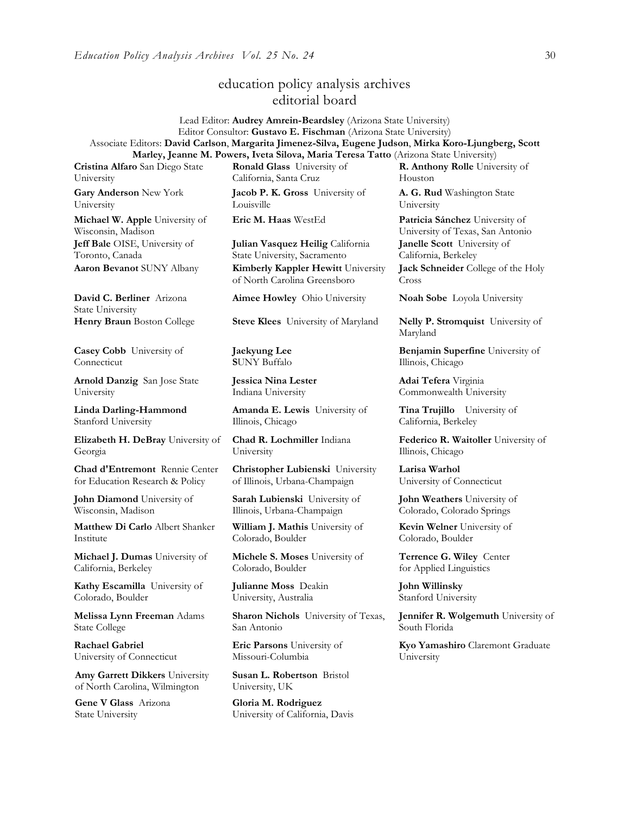# education policy analysis archives editorial board

Lead Editor: **Audrey Amrein-Beardsley** (Arizona State University) Editor Consultor: **Gustavo E. Fischman** (Arizona State University) Associate Editors: **David Carlson**, **Margarita Jimenez-Silva, Eugene Judson**, **Mirka Koro-Ljungberg, Scott Marley, Jeanne M. Powers, Iveta Silova, Maria Teresa Tatto** (Arizona State University)

**Cristina Alfaro** San Diego State University

**Gary Anderson** New York University

**Michael W. Apple** University of Wisconsin, Madison **Jeff Bale** OISE, University of Toronto, Canada

**David C. Berliner** Arizona State University

**Casey Cobb** University of **Connecticut** 

**Arnold Danzig** San Jose State University

**Linda Darling-Hammond**  Stanford University

**Elizabeth H. DeBray** University of Georgia

**Chad d'Entremont** Rennie Center for Education Research & Policy

**John Diamond** University of Wisconsin, Madison

**Matthew Di Carlo** Albert Shanker Institute

**Michael J. Dumas** University of California, Berkeley

**Kathy Escamilla** University of Colorado, Boulder

**Melissa Lynn Freeman** Adams State College

**Rachael Gabriel** University of Connecticut

**Amy Garrett Dikkers** University of North Carolina, Wilmington

**Gene V Glass** Arizona State University

**Ronald Glass** University of California, Santa Cruz **Jacob P. K. Gross** University of

Louisville

**Julian Vasquez Heilig** California State University, Sacramento **Aaron Bevanot** SUNY Albany **Kimberly Kappler Hewitt** University of North Carolina Greensboro

**Aimee Howley** Ohio University **Noah Sobe** Loyola University

**Henry Braun** Boston College **Steve Klees** University of Maryland **Nelly P. Stromquist** University of

**Jaekyung Lee S**UNY Buffalo

**Jessica Nina Lester** Indiana University

**Amanda E. Lewis** University of Illinois, Chicago

**Chad R. Lochmiller** Indiana University

**Christopher Lubienski** University of Illinois, Urbana-Champaign

**Sarah Lubienski** University of Illinois, Urbana-Champaign

**William J. Mathis** University of Colorado, Boulder

**Michele S. Moses** University of Colorado, Boulder

**Julianne Moss** Deakin University, Australia

**Sharon Nichols** University of Texas, San Antonio

**Eric Parsons** University of Missouri-Columbia

**Susan L. Robertson** Bristol University, UK

**Gloria M. Rodriguez** University of California, Davis **R. Anthony Rolle** University of Houston

**A. G. Rud** Washington State University

**Eric M. Haas** WestEd **Patricia Sánchez** University of University of Texas, San Antonio **Janelle Scott** University of California, Berkeley

> **Jack Schneider** College of the Holy Cross

Maryland

**Benjamin Superfine** University of Illinois, Chicago

**Adai Tefera** Virginia Commonwealth University

**Tina Trujillo** University of California, Berkeley

**Federico R. Waitoller** University of Illinois, Chicago

**Larisa Warhol** University of Connecticut

**John Weathers** University of Colorado, Colorado Springs

**Kevin Welner** University of Colorado, Boulder

**Terrence G. Wiley** Center for Applied Linguistics

**John Willinsky**  Stanford University

**Jennifer R. Wolgemuth** University of South Florida

**Kyo Yamashiro** Claremont Graduate University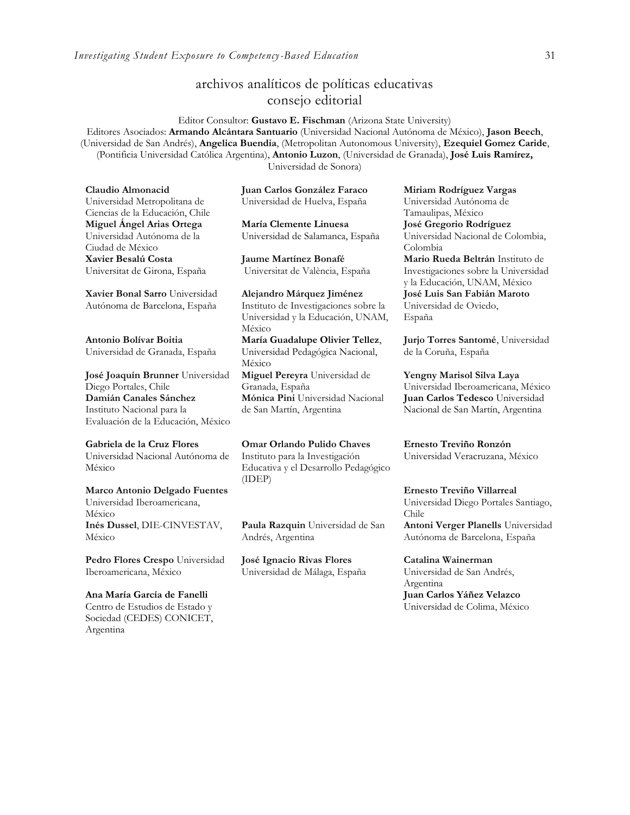# archivos analíticos de políticas educativas consejo editorial

Editor Consultor: **Gustavo E. Fischman** (Arizona State University) Editores Asociados: **Armando Alcántara Santuario** (Universidad Nacional Autónoma de México), **Jason Beech**, (Universidad de San Andrés), **Angelica Buendia**, (Metropolitan Autonomous University), **Ezequiel Gomez Caride**, (Pontificia Universidad Católica Argentina), **Antonio Luzon**, (Universidad de Granada), **José Luis Ramírez,** Universidad de Sonora)

**Claudio Almonacid** Universidad Metropolitana de Ciencias de la Educación, Chile **Miguel Ángel Arias Ortega**  Universidad Autónoma de la Ciudad de México **Xavier Besalú Costa**  Universitat de Girona, España

**[Xavier Bonal](javascript:openRTWindow() Sarro** Universidad Autónoma de Barcelona, España

**[Antonio Bolívar](javascript:openRTWindow() Boitia** Universidad de Granada, España

**[José Joaquín Brunner](javascript:openRTWindow()** Universidad Diego Portales, Chile **[Damián Canales Sánchez](javascript:openRTWindow()** Instituto Nacional para la Evaluación de la Educación, México

**Gabriela de la Cruz Flores** Universidad Nacional Autónoma de México

**[Marco Antonio Delgado Fuentes](javascript:openRTWindow()** Universidad Iberoamericana, México **[Inés Dussel](javascript:openRTWindow()**, DIE-CINVESTAV, México

**[Pedro Flores Crespo](javascript:openRTWindow()** Universidad Iberoamericana, México

**Ana María García de Fanelli**  Centro de Estudios de Estado y Sociedad (CEDES) CONICET, Argentina

**Juan Carlos González Faraco**  Universidad de Huelva, España

**María Clemente Linuesa**  Universidad de Salamanca, España

**Jaume Martínez Bonafé** Universitat de València, España

**Alejandro Márquez Jiménez**  Instituto de Investigaciones sobre la Universidad y la Educación, UNAM, México **María Guadalupe Olivier Tellez**, Universidad Pedagógica Nacional, México **[Miguel Pereyra](javascript:openRTWindow()** Universidad de Granada, España **[Mónica Pini](javascript:openRTWindow()** Universidad Nacional de San Martín, Argentina

**Omar Orlando Pulido Chaves** Instituto para la Investigación Educativa y el Desarrollo Pedagógico (IDEP)

**[Paula Razquin](javascript:openRTWindow()** Universidad de San Andrés, Argentina

**José Ignacio Rivas Flores** Universidad de Málaga, España **[Miriam Rodríguez Vargas](javascript:openRTWindow()** Universidad Autónoma de Tamaulipas, México **José Gregorio Rodríguez**  Universidad Nacional de Colombia, Colombia **[Mario Rueda Beltrán](javascript:openRTWindow()** Instituto de Investigaciones sobre la Universidad

y la Educación, UNAM, México **José Luis San Fabián Maroto**  Universidad de Oviedo, España

**[Jurjo Torres Santomé](javascript:openRTWindow()**, Universidad de la Coruña, España

**[Yengny Marisol Silva Laya](javascript:openRTWindow()** Universidad Iberoamericana, México **Juan Carlos Tedesco** Universidad Nacional de San Martín, Argentina

**Ernesto Treviño Ronzón** Universidad Veracruzana, México

**[Ernesto Treviño](javascript:openRTWindow() Villarreal** Universidad Diego Portales Santiago, Chile **[Antoni Verger Planells](javascript:openRTWindow()** Universidad Autónoma de Barcelona, España

**[Catalina Wainerman](javascript:openRTWindow()** Universidad de San Andrés, Argentina **Juan Carlos Yáñez Velazco** Universidad de Colima, México